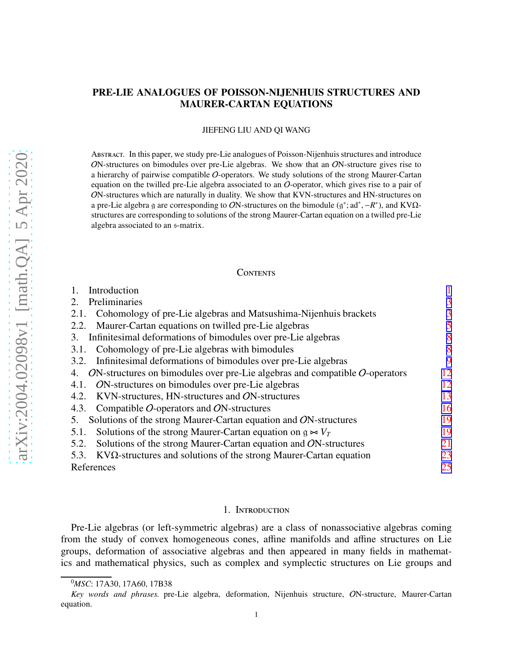# PRE-LIE ANALOGUES OF POISSON-NIJENHUIS STRUCTURES AND MAURER-CARTAN EQUATIONS

#### JIEFENG LIU AND QI WANG

Abstract. In this paper, we study pre-Lie analogues of Poisson-Nijenhuis structures and introduce ON-structures on bimodules over pre-Lie algebras. We show that an ON-structure gives rise to a hierarchy of pairwise compatible O-operators. We study solutions of the strong Maurer-Cartan equation on the twilled pre-Lie algebra associated to an  $O$ -operator, which gives rise to a pair of ON-structures which are naturally in duality. We show that KVN-structures and HN-structures on a pre-Lie algebra g are corresponding to ON-structures on the bimodule  $(g^*; ad^*, -R^*)$ , and KVQstructures are corresponding to solutions of the strong Maurer-Cartan equation on a twilled pre-Lie algebra associated to an s-matrix.

#### **CONTENTS**

| Introduction                                                                                |    |
|---------------------------------------------------------------------------------------------|----|
| Preliminaries<br>2.                                                                         | 3  |
| Cohomology of pre-Lie algebras and Matsushima-Nijenhuis brackets<br>2.1.                    | 3  |
| Maurer-Cartan equations on twilled pre-Lie algebras<br>2.2.                                 | 5  |
| Infinitesimal deformations of bimodules over pre-Lie algebras<br>3.                         | 8  |
| Cohomology of pre-Lie algebras with bimodules<br>3.1.                                       | 8  |
| Infinitesimal deformations of bimodules over pre-Lie algebras<br>3.2.                       | 9  |
| $ON$ -structures on bimodules over pre-Lie algebras and compatible $O$ -operators<br>4.     | 12 |
| ON-structures on bimodules over pre-Lie algebras<br>4.1.                                    | 12 |
| KVN-structures, HN-structures and ON-structures<br>4.2.                                     | 13 |
| Compatible $O$ -operators and $ON$ -structures<br>4.3.                                      | 16 |
| Solutions of the strong Maurer-Cartan equation and ON-structures<br>5.                      | 19 |
| Solutions of the strong Maurer-Cartan equation on $g \approx V_T$<br>5.1.                   | 19 |
| Solutions of the strong Maurer-Cartan equation and ON-structures<br>5.2.                    | 21 |
| $\Delta$ KV $\Omega$ -structures and solutions of the strong Maurer-Cartan equation<br>5.3. | 23 |
| References                                                                                  | 25 |

#### 1. Introduction

Pre-Lie algebras (or left-symmetric algebras) are a class of nonassociative algebras coming from the study of convex homogeneous cones, affine manifolds and affine structures on Lie groups, deformation of associative algebras and then appeared in many fields in mathematics and mathematical physics, such as complex and symplectic structures on Lie groups and

<sup>0</sup>*MSC*: 17A30, 17A60, 17B38

*Key words and phrases.* pre-Lie algebra, deformation, Nijenhuis structure, ON-structure, Maurer-Cartan equation.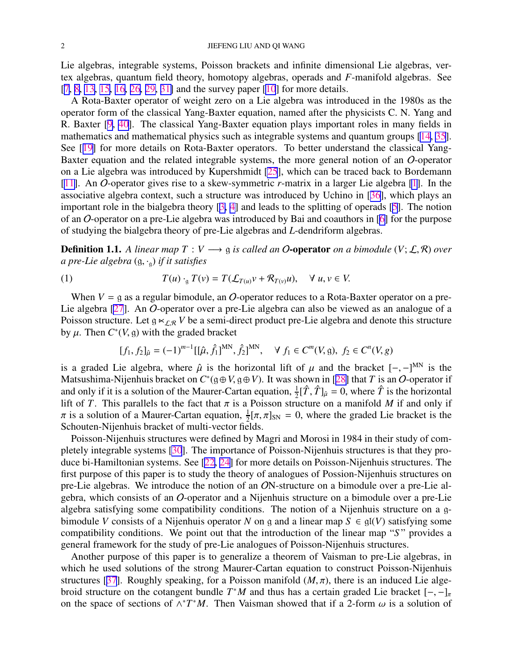<span id="page-1-0"></span>Lie algebras, integrable systems, Poisson brackets and infinite dimensional Lie algebras, vertex algebras, quantum field theory, homotopy algebras, operads and *F*-manifold algebras. See [[7,](#page-25-0) [8,](#page-25-0) [13,](#page-25-0) [15,](#page-25-0) [16,](#page-25-0) [26,](#page-25-0) [29,](#page-25-0) [31\]](#page-25-0) and the survey paper [\[10](#page-25-0)] for more details.

A Rota-Baxter operator of weight zero on a Lie algebra was introduced in the 1980s as the operator form of the classical Yang-Baxter equation, named after the physicists C. N. Yang and R. Baxter [\[9](#page-25-0), [40](#page-26-0)]. The classical Yang-Baxter equation plays important roles in many fields in mathematics and mathematical physics such as integrable systems and quantum groups [\[14](#page-25-0), [35](#page-25-0)]. See [[19\]](#page-25-0) for more details on Rota-Baxter operators. To better understand the classical Yang-Baxter equation and the related integrable systems, the more general notion of an O-operator on a Lie algebra was introduced by Kupershmidt [\[25](#page-25-0)], which can be traced back to Bordemann [[11\]](#page-25-0). An O-operator gives rise to a skew-symmetric *r*-matrix in a larger Lie algebra [\[1](#page-24-0)]. In the associative algebra context, such a structure was introduced by Uchino in [[36\]](#page-25-0), which plays an important role in the bialgebra theory [[3,](#page-24-0) [4\]](#page-24-0) and leads to the splitting of operads [\[5](#page-24-0)]. The notion of an O-operator on a pre-Lie algebra was introduced by Bai and coauthors in [[6\]](#page-24-0) for the purpose of studying the bialgebra theory of pre-Lie algebras and *L*-dendriform algebras.

**Definition 1.1.** A linear map  $T: V \longrightarrow g$  is called an O-operator on a bimodule  $(V; \mathcal{L}, \mathcal{R})$  over *a pre-Lie algebra* (g, ·g) *if it satisfies*

(1) 
$$
T(u) \cdot_{\mathfrak{g}} T(v) = T(\mathcal{L}_{T(u)}v + \mathcal{R}_{T(v)}u), \quad \forall u, v \in V.
$$

When  $V = g$  as a regular bimodule, an O-operator reduces to a Rota-Baxter operator on a pre-Lie algebra [\[27](#page-25-0)]. An O-operator over a pre-Lie algebra can also be viewed as an analogue of a Poisson structure. Let  $g \ltimes_{\mathcal{LR}} V$  be a semi-direct product pre-Lie algebra and denote this structure by  $\mu$ . Then  $C^*(V, g)$  with the graded bracket

$$
[f_1, f_2]_{\hat{\mu}} = (-1)^{m-1} [[\hat{\mu}, \hat{f}_1]^{MN}, \hat{f}_2]^{MN}, \quad \forall f_1 \in C^m(V, g), f_2 \in C^n(V, g)
$$

is a graded Lie algebra, where  $\hat{\mu}$  is the horizontal lift of  $\mu$  and the bracket  $[-,-]^{MN}$  is the Matsushima-Nijenhuis bracket on *C* ∗ (g⊕*V*, g⊕*V*). It was shown in [[28\]](#page-25-0) that *T* is an O-operator if and only if it is a solution of the Maurer-Cartan equation,  $\frac{1}{2}[\hat{T}, \hat{T}]_{\hat{\mu}} = 0$ , where  $\hat{T}$  is the horizontal lift of *T*. This parallels to the fact that  $\pi$  is a Poisson structure on a manifold *M* if and only if  $\pi$  is a solution of a Maurer-Cartan equation,  $\frac{1}{2}[\pi, \pi]_{SN} = 0$ , where the graded Lie bracket is the Schouten-Nijenhuis bracket of multi-vector fields.

Poisson-Nijenhuis structures were defined by Magri and Morosi in 1984 in their study of completely integrable systems [\[30](#page-25-0)]. The importance of Poisson-Nijenhuis structures is that they produce bi-Hamiltonian systems. See [[22,](#page-25-0) [24\]](#page-25-0) for more details on Poisson-Nijenhuis structures. The first purpose of this paper is to study the theory of analogues of Possion-Nijenhuis structures on pre-Lie algebras. We introduce the notion of an ON-structure on a bimodule over a pre-Lie algebra, which consists of an O-operator and a Nijenhuis structure on a bimodule over a pre-Lie algebra satisfying some compatibility conditions. The notion of a Nijenhuis structure on a gbimodule *V* consists of a Nijenhuis operator *N* on g and a linear map  $S \in gl(V)$  satisfying some compatibility conditions. We point out that the introduction of the linear map "*S* " provides a general framework for the study of pre-Lie analogues of Poisson-Nijenhuis structures.

Another purpose of this paper is to generalize a theorem of Vaisman to pre-Lie algebras, in which he used solutions of the strong Maurer-Cartan equation to construct Poisson-Nijenhuis structures [\[37](#page-25-0)]. Roughly speaking, for a Poisson manifold  $(M, \pi)$ , there is an induced Lie algebroid structure on the cotangent bundle  $T^*M$  and thus has a certain graded Lie bracket  $[-,-]_{\pi}$ on the space of sections of  $\wedge^* T^*M$ . Then Vaisman showed that if a 2-form  $\omega$  is a solution of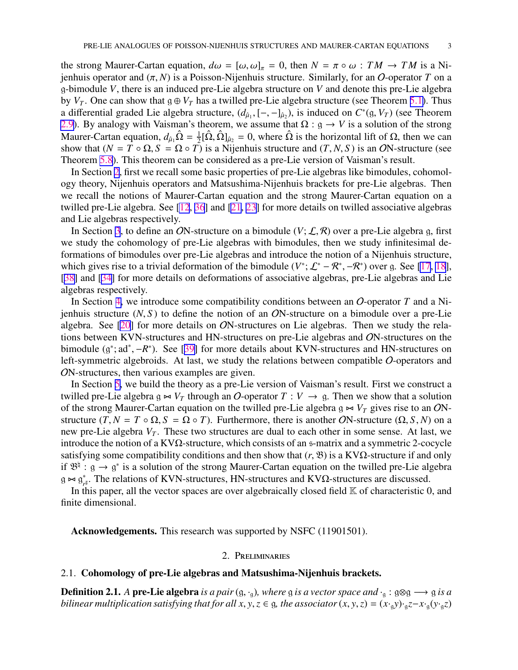<span id="page-2-0"></span>the strong Maurer-Cartan equation,  $d\omega = [\omega, \omega]_{\pi} = 0$ , then  $N = \pi \circ \omega : TM \to TM$  is a Nijenhuis operator and (π, *N*) is a Poisson-Nijenhuis structure. Similarly, for an O-operator *T* on a g-bimodule *V*, there is an induced pre-Lie algebra structure on *V* and denote this pre-Lie algebra by  $V_T$ . One can show that  $g \oplus V_T$  has a twilled pre-Lie algebra structure (see Theorem [5.1\)](#page-18-0). Thus a differential graded Lie algebra structure,  $(d_{\hat{\mu}_1}, [-, -]_{\hat{\mu}_2})$ , is induced on  $C^*(\mathfrak{g}, V_T)$  (see Theorem [2.9](#page-6-0)). By analogy with Vaisman's theorem, we assume that  $\Omega$  :  $g \to V$  is a solution of the strong Maurer-Cartan equation,  $d_{\hat{\mu}_1} \hat{\Omega} = \frac{1}{2} [\hat{\Omega}, \hat{\Omega}]_{\hat{\mu}_2} = 0$ , where  $\hat{\Omega}$  is the horizontal lift of  $\Omega$ , then we can show that  $(N = T \circ \Omega, S = \Omega \circ T)$  is a Nijenhuis structure and  $(T, N, S)$  is an ON-structure (see Theorem [5.8](#page-20-0)). This theorem can be considered as a pre-Lie version of Vaisman's result.

In Section 2, first we recall some basic properties of pre-Lie algebras like bimodules, cohomology theory, Nijenhuis operators and Matsushima-Nijenhuis brackets for pre-Lie algebras. Then we recall the notions of Maurer-Cartan equation and the strong Maurer-Cartan equation on a twilled pre-Lie algebra. See [\[12](#page-25-0), [36](#page-25-0)] and [\[21](#page-25-0), [23](#page-25-0)] for more details on twilled associative algebras and Lie algebras respectively.

In Section [3](#page-7-0), to define an ON-structure on a bimodule  $(V; \mathcal{L}, \mathcal{R})$  over a pre-Lie algebra g, first we study the cohomology of pre-Lie algebras with bimodules, then we study infinitesimal deformations of bimodules over pre-Lie algebras and introduce the notion of a Nijenhuis structure, which gives rise to a trivial deformation of the bimodule  $(V^*; \mathcal{L}^* - \mathcal{R}^*, -\mathcal{R}^*)$  over g. See [\[17](#page-25-0), [18](#page-25-0)], [[38\]](#page-26-0) and [[34\]](#page-25-0) for more details on deformations of associative algebras, pre-Lie algebras and Lie algebras respectively.

In Section [4,](#page-11-0) we introduce some compatibility conditions between an O-operator *T* and a Nijenhuis structure  $(N, S)$  to define the notion of an ON-structure on a bimodule over a pre-Lie algebra. See [\[20](#page-25-0)] for more details on ON-structures on Lie algebras. Then we study the relations between KVN-structures and HN-structures on pre-Lie algebras and ON-structures on the bimodule  $(g^*; ad^*, -R^*)$ . See [[39\]](#page-26-0) for more details about KVN-structures and HN-structures on left-symmetric algebroids. At last, we study the relations between compatible O-operators and ON-structures, then various examples are given.

In Section [5,](#page-18-0) we build the theory as a pre-Lie version of Vaisman's result. First we construct a twilled pre-Lie algebra g  $\Join$  *V<sub>T</sub>* through an *O*-operator *T* : *V* → g. Then we show that a solution of the strong Maurer-Cartan equation on the twilled pre-Lie algebra  $g \Join V_T$  gives rise to an ONstructure  $(T, N = T \circ \Omega, S = \Omega \circ T)$ . Furthermore, there is another ON-structure  $(\Omega, S, N)$  on a new pre-Lie algebra  $V_T$ . These two structures are dual to each other in some sense. At last, we introduce the notion of a KV $\Omega$ -structure, which consists of an s-matrix and a symmetric 2-cocycle satisfying some compatibility conditions and then show that  $(r, \mathcal{B})$  is a KV $\Omega$ -structure if and only if  $\mathfrak{B}^{\natural}: g \to g^*$  is a solution of the strong Maurer-Cartan equation on the twilled pre-Lie algebra  $g \Join g^*$ <sup>\*</sup><sub>*r*<sup>#</sup></sub>. The relations of KVN-structures, HN-structures and KVΩ-structures are discussed.

In this paper, all the vector spaces are over algebraically closed field  $K$  of characteristic 0, and finite dimensional.

Acknowledgements. This research was supported by NSFC (11901501).

### 2. Preliminaries

#### 2.1. Cohomology of pre-Lie algebras and Matsushima-Nijenhuis brackets.

**Definition 2.1.** *A* pre-Lie algebra *is a pair* (g, ·<sub>a</sub>), where g *is a vector space and* ·<sub>a</sub> : g⊗g  $\rightarrow$  g *is a bilinear multiplication satisfying that for all*  $x, y, z \in g$ *, the associator*  $(x, y, z) = (x \cdot g y) \cdot g z - x \cdot g (y \cdot g z)$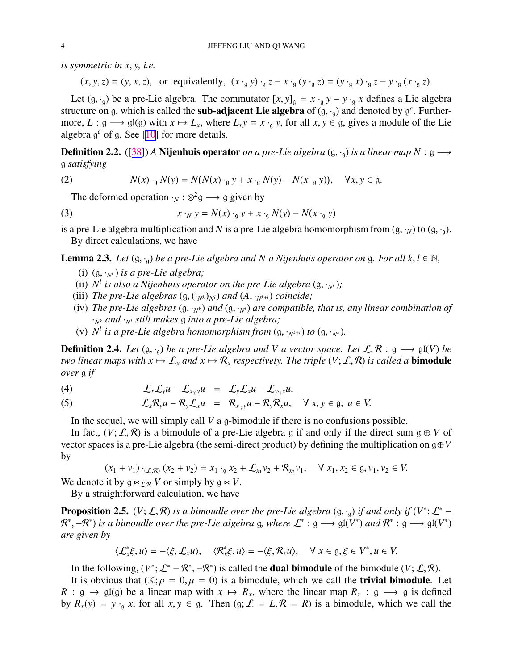<span id="page-3-0"></span>*is symmetric in x*, *y, i.e.*

 $(x, y, z) = (y, x, z)$ , or equivalently,  $(x \cdot_{g} y) \cdot_{g} z - x \cdot_{g} (y \cdot_{g} z) = (y \cdot_{g} x) \cdot_{g} z - y \cdot_{g} (x \cdot_{g} z)$ .

Let  $(g, \cdot_g)$  be a pre-Lie algebra. The commutator  $[x, y]_g = x \cdot_g y - y \cdot_g x$  defines a Lie algebra structure on g, which is called the **sub-adjacent Lie algebra** of  $(g, \cdot_g)$  and denoted by  $g^c$ . Furthermore,  $L: \mathfrak{g} \longrightarrow \mathfrak{gl}(\mathfrak{g})$  with  $x \mapsto L_x$ , where  $L_x y = x \cdot_{\mathfrak{g}} y$ , for all  $x, y \in \mathfrak{g}$ , gives a module of the Lie algebra g *<sup>c</sup>* of g. See [[10\]](#page-25-0) for more details.

**Definition 2.2.** ([[38\]](#page-26-0)) *A* **Nijenhuis operator** *on a pre-Lie algebra* (g, ·<sub>g</sub>) *is a linear map*  $N: \mathfrak{g} \longrightarrow$ g *satisfying*

(2) 
$$
N(x) \cdot_{\mathfrak{g}} N(y) = N(N(x) \cdot_{\mathfrak{g}} y + x \cdot_{\mathfrak{g}} N(y) - N(x \cdot_{\mathfrak{g}} y)), \quad \forall x, y \in \mathfrak{g}.
$$

The deformed operation  $\cdot_N : \otimes^2 \mathfrak{g} \longrightarrow \mathfrak{g}$  given by

(3) 
$$
x \cdot_N y = N(x) \cdot_g y + x \cdot_g N(y) - N(x \cdot_g y)
$$

is a pre-Lie algebra multiplication and *N* is a pre-Lie algebra homomorphism from  $(g, \cdot_N)$  to  $(g, \cdot_q)$ . By direct calculations, we have

**Lemma 2.3.** *Let*  $(g, \cdot_g)$  *be a pre-Lie algebra and N a Nijenhuis operator on* g. *For all k, l*  $\in \mathbb{N}$ *,* 

- (i)  $(g, \cdot_{N^k})$  *is a pre-Lie algebra;*
- (ii)  $N<sup>l</sup>$  *is also a Nijenhuis operator on the pre-Lie algebra* (g,  $\cdot_{N<sup>k</sup>}$ );
- (iii) *The pre-Lie algebras*  $(g, (\cdot_{N^k})_{N^l})$  *and*  $(A, \cdot_{N^{k+l}})$  *coincide*;
- (iv) *The pre-Lie algebras*  $(g, \cdot_{N^k})$  *and*  $(g, \cdot_{N^l})$  *are compatible, that is, any linear combination of* ·*N<sup>k</sup> and* ·*N<sup>l</sup> still makes* g *into a pre-Lie algebra;*
- (v)  $N^l$  is a pre-Lie algebra homomorphism from  $(g, \cdot_{N^{k+l}})$  to  $(g, \cdot_{N^k})$ .

**Definition 2.4.** *Let*  $(g, \cdot_g)$  *be a pre-Lie algebra and V a vector space. Let*  $\mathcal{L}, \mathcal{R}: g \longrightarrow gl(V)$  *be two linear maps with*  $x \mapsto \mathcal{L}_x$  *and*  $x \mapsto \mathcal{R}_x$  *respectively. The triple*  $(V; \mathcal{L}, \mathcal{R})$  *is called a* **bimodule** *over* g *if*

(4) 
$$
\mathcal{L}_x \mathcal{L}_y u - \mathcal{L}_{x, y} u = \mathcal{L}_y \mathcal{L}_x u - \mathcal{L}_{y, y} u,
$$

(5) 
$$
\mathcal{L}_x \mathcal{R}_y u - \mathcal{R}_y \mathcal{L}_x u = \mathcal{R}_{x, y} u - \mathcal{R}_y \mathcal{R}_x u, \quad \forall x, y \in \mathfrak{g}, u \in V.
$$

In the sequel, we will simply call *V* a g-bimodule if there is no confusions possible.

In fact,  $(V; \mathcal{L}, \mathcal{R})$  is a bimodule of a pre-Lie algebra g if and only if the direct sum  $g \oplus V$  of vector spaces is a pre-Lie algebra (the semi-direct product) by defining the multiplication on g⊕*V* by

$$
(x_1 + v_1) \cdot_{(\mathcal{L}, \mathcal{R})} (x_2 + v_2) = x_1 \cdot_{\mathfrak{g}} x_2 + \mathcal{L}_{x_1} v_2 + \mathcal{R}_{x_2} v_1, \quad \forall x_1, x_2 \in \mathfrak{g}, v_1, v_2 \in V.
$$

We denote it by  $g \ltimes_{\mathcal{L},\mathcal{R}} V$  or simply by  $g \ltimes V$ .

By a straightforward calculation, we have

**Proposition 2.5.** (*V*;  $\mathcal{L}, \mathcal{R}$ ) *is a bimoudle over the pre-Lie algebra* (g, ·<sub>g</sub>) *if and only if* (*V*<sup>\*</sup>;  $\mathcal{L}^*$  –  $\mathcal{R}^*, -\mathcal{R}^*$ ) *is a bimoudle over the pre-Lie algebra* g, where  $\mathcal{L}^* : g \longrightarrow gl(V^*)$  and  $\mathcal{R}^* : g \longrightarrow gl(V^*)$ *are given by*

$$
\langle \mathcal{L}_x^* \xi, u \rangle = -\langle \xi, \mathcal{L}_x u \rangle, \quad \langle \mathcal{R}_x^* \xi, u \rangle = -\langle \xi, \mathcal{R}_x u \rangle, \quad \forall \ x \in \mathfrak{g}, \xi \in V^*, u \in V.
$$

In the following,  $(V^*; \mathcal{L}^* - \mathcal{R}^*, -\mathcal{R}^*)$  is called the **dual bimodule** of the bimodule  $(V; \mathcal{L}, \mathcal{R})$ .

It is obvious that ( $\mathbb{K}; \rho = 0, \mu = 0$ ) is a bimodule, which we call the **trivial bimodule**. Let  $R: \mathfrak{g} \to \mathfrak{gl}(\mathfrak{g})$  be a linear map with  $x \mapsto R_x$ , where the linear map  $R_x: \mathfrak{g} \longrightarrow \mathfrak{g}$  is defined by  $R_x(y) = y \cdot g x$ , for all  $x, y \in g$ . Then  $(g; \mathcal{L} = L, \mathcal{R} = R)$  is a bimodule, which we call the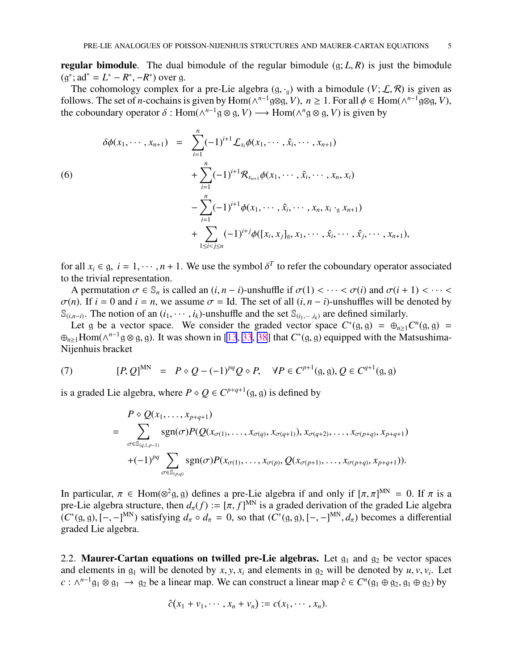<span id="page-4-0"></span>**regular bimodule.** The dual bimodule of the regular bimodule  $(g; L, R)$  is just the bimodule  $(g^*; ad^* = L^* - R^*, -R^*)$  over g.

The cohomology complex for a pre-Lie algebra  $(g, \cdot_q)$  with a bimodule  $(V; \mathcal{L}, \mathcal{R})$  is given as follows. The set of *n*-cochains is given by  $Hom(\wedge^{n-1} \mathfrak{g} \otimes \mathfrak{g}, V)$ ,  $n \ge 1$ . For all  $\phi \in Hom(\wedge^{n-1} \mathfrak{g} \otimes \mathfrak{g}, V)$ , the coboundary operator  $\delta$ :  $Hom(\wedge^{n-1} \mathfrak{g} \otimes \mathfrak{g}, V) \longrightarrow Hom(\wedge^n \mathfrak{g} \otimes \mathfrak{g}, V)$  is given by

$$
\delta\phi(x_1, \dots, x_{n+1}) = \sum_{i=1}^n (-1)^{i+1} \mathcal{L}_{x_i} \phi(x_1, \dots, \hat{x}_i, \dots, x_{n+1})
$$
  
\n(6)  
\n
$$
+ \sum_{i=1}^n (-1)^{i+1} \mathcal{R}_{x_{n+1}} \phi(x_1, \dots, \hat{x}_i, \dots, x_n, x_i)
$$
  
\n
$$
- \sum_{i=1}^n (-1)^{i+1} \phi(x_1, \dots, \hat{x}_i, \dots, x_n, x_i \cdot_{\mathfrak{g}} x_{n+1})
$$
  
\n
$$
+ \sum_{1 \le i < j \le n} (-1)^{i+j} \phi([x_i, x_j]_{\mathfrak{g}}, x_1, \dots, \hat{x}_i, \dots, \hat{x}_j, \dots, x_{n+1}),
$$

for all  $x_i \in \mathfrak{g}, i = 1, \dots, n + 1$ . We use the symbol  $\delta^T$  to refer the coboundary operator associated to the trivial representation.

A permutation  $\sigma \in \mathbb{S}_n$  is called an  $(i, n - i)$ -unshuffle if  $\sigma(1) < \cdots < \sigma(i)$  and  $\sigma(i + 1) < \cdots <$  $\sigma(n)$ . If  $i = 0$  and  $i = n$ , we assume  $\sigma =$  Id. The set of all  $(i, n - i)$ -unshuffles will be denoted by  $\mathbb{S}_{(i_1,n-i)}$ . The notion of an  $(i_1,\dots,i_k)$ -unshuffle and the set  $\mathbb{S}_{(i_1,\dots,i_k)}$  are defined similarly.

Let g be a vector space. We consider the graded vector space  $C^*(g, g) = \bigoplus_{n \geq 1} C^n(g, g) =$ ⊕<sub>*n*≥1</sub>Hom(∧<sup>*n*-1</sup>g ⊗ g, g). It was shown in [\[13](#page-25-0), [33](#page-25-0), [38](#page-26-0)] that  $C^*(g, g)$  equipped with the Matsushima-Nijenhuis bracket

(7) 
$$
[P, Q]^{MN} = P \circ Q - (-1)^{pq} Q \circ P, \quad \forall P \in C^{p+1}(\mathfrak{g}, \mathfrak{g}), Q \in C^{q+1}(\mathfrak{g}, \mathfrak{g})
$$

is a graded Lie algebra, where  $P \diamond Q \in C^{p+q+1}(\mathfrak{g}, \mathfrak{g})$  is defined by

$$
P \diamond Q(x_1, ..., x_{p+q+1})
$$
\n
$$
= \sum_{\sigma \in \mathbb{S}_{(q,1,p-1)}} \text{sgn}(\sigma) P(Q(x_{\sigma(1)}, ..., x_{\sigma(q)}, x_{\sigma(q+1)}), x_{\sigma(q+2)}, ..., x_{\sigma(p+q)}, x_{p+q+1})
$$
\n
$$
+ (-1)^{pq} \sum_{\sigma \in \mathbb{S}_{(p,q)}} \text{sgn}(\sigma) P(x_{\sigma(1)}, ..., x_{\sigma(p)}, Q(x_{\sigma(p+1)}, ..., x_{\sigma(p+q)}, x_{p+q+1})).
$$

In particular,  $\pi \in \text{Hom}(\otimes^2 \mathfrak{g}, \mathfrak{g})$  defines a pre-Lie algebra if and only if  $[\pi, \pi]^{\text{MN}} = 0$ . If  $\pi$  is a pre-Lie algebra structure, then  $d_{\pi}(f) := [\pi, f]^{\text{MN}}$  is a graded derivation of the graded Lie algebra  $(C^*(g, g), [-,-]^{MN})$  satisfying  $d_\pi \circ d_\pi = 0$ , so that  $(C^*(g, g), [-,-]^{MN}, d_\pi)$  becomes a differential graded Lie algebra.

2.2. Maurer-Cartan equations on twilled pre-Lie algebras. Let  $g_1$  and  $g_2$  be vector spaces and elements in  $g_1$  will be denoted by  $x, y, x_i$  and elements in  $g_2$  will be denoted by  $u, v, v_i$ . Let  $c: \wedge^{n-1} g_1 \otimes g_1 \to g_2$  be a linear map. We can construct a linear map  $\hat{c} \in C^n(g_1 \oplus g_2, g_1 \oplus g_2)$  by

$$
\hat{c}(x_1+v_1,\cdots,x_n+v_n):=c(x_1,\cdots,x_n).
$$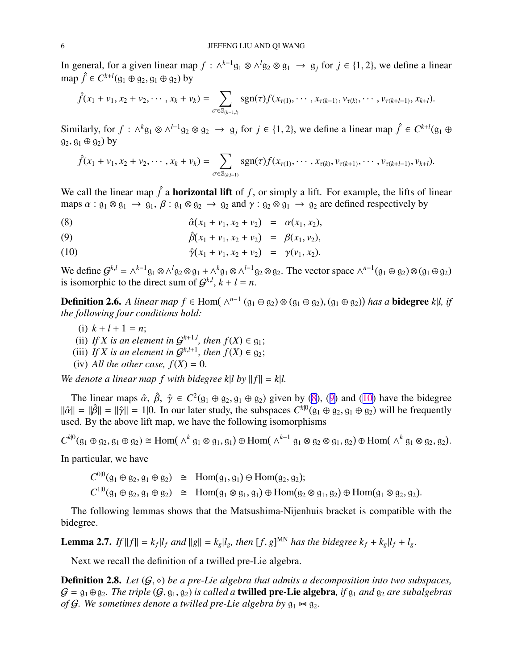<span id="page-5-0"></span>In general, for a given linear map  $f: \wedge^{k-1} \mathfrak{g}_1 \otimes \wedge^l \mathfrak{g}_2 \otimes \mathfrak{g}_1 \to \mathfrak{g}_j$  for  $j \in \{1, 2\}$ , we define a linear map  $\hat{f}$  ∈  $C^{k+l}(\mathfrak{g}_1 \oplus \mathfrak{g}_2, \mathfrak{g}_1 \oplus \mathfrak{g}_2)$  by

$$
\hat{f}(x_1 + v_1, x_2 + v_2, \cdots, x_k + v_k) = \sum_{\sigma \in \mathbb{S}_{(k-1, l)}} \text{sgn}(\tau) f(x_{\tau(1)}, \cdots, x_{\tau(k-1)}, v_{\tau(k)}, \cdots, v_{\tau(k+l-1)}, x_{k+l}).
$$

Similarly, for  $f : \wedge^k g_1 \otimes \wedge^{l-1} g_2 \otimes g_2 \rightarrow g_j$  for  $j \in \{1, 2\}$ , we define a linear map  $\hat{f} \in C^{k+l}(g_1 \oplus g_2)$  $g_2, g_1 \oplus g_2$ ) by

$$
\hat{f}(x_1 + v_1, x_2 + v_2, \cdots, x_k + v_k) = \sum_{\sigma \in \mathbb{S}_{(k,l-1)}} \text{sgn}(\tau) f(x_{\tau(1)}, \cdots, x_{\tau(k)}, v_{\tau(k+1)}, \cdots, v_{\tau(k+l-1)}, v_{k+l}).
$$

We call the linear map  $\hat{f}$  a **horizontal lift** of  $f$ , or simply a lift. For example, the lifts of linear maps  $\alpha$ :  $g_1 \otimes g_1 \rightarrow g_1$ ,  $\beta$ :  $g_1 \otimes g_2 \rightarrow g_2$  and  $\gamma$ :  $g_2 \otimes g_1 \rightarrow g_2$  are defined respectively by

(8) 
$$
\hat{\alpha}(x_1 + v_1, x_2 + v_2) = \alpha(x_1, x_2),
$$

(9) 
$$
\hat{\beta}(x_1 + v_1, x_2 + v_2) = \beta(x_1, v_2),
$$

(10) 
$$
\hat{\gamma}(x_1 + v_1, x_2 + v_2) = \gamma(v_1, x_2).
$$

We define  $G^{k,l} = \wedge^{k-1} g_1 \otimes \wedge^l g_2 \otimes g_1 + \wedge^k g_1 \otimes \wedge^{l-1} g_2 \otimes g_2$ . The vector space  $\wedge^{n-1} (g_1 \oplus g_2) \otimes (g_1 \oplus g_2)$ is isomorphic to the direct sum of  $G^{k,l}$ ,  $k + l = n$ .

**Definition 2.6.** A linear map  $f \in Hom(\wedge^{n-1}(g_1 \oplus g_2) \otimes (g_1 \oplus g_2), (g_1 \oplus g_2))$  has a **bidegree** k|l, if *the following four conditions hold:*

- (i)  $k + l + 1 = n$ ;
- (ii) If X is an element in  $\mathcal{G}^{k+1,l}$ , then  $f(X) \in \mathfrak{g}_1$ ;
- (iii) If X is an element in  $G^{k,l+1}$ , then  $f(X) \in \mathfrak{g}_2$ ;
- (iv) All the other case,  $f(X) = 0$ .

*We denote a linear map f with bidegree k|l by*  $||f|| = k$ |*l.* 

The linear maps  $\hat{\alpha}$ ,  $\hat{\beta}$ ,  $\hat{\gamma} \in C^2(\mathfrak{g}_1 \oplus \mathfrak{g}_2, \mathfrak{g}_1 \oplus \mathfrak{g}_2)$  given by (8), (9) and (10) have the bidegree  $\|\hat{\alpha}\| = \|\hat{\beta}\| = \|\hat{\gamma}\| = 1$ . In our later study, the subspaces  $C^{k|0}(\mathfrak{g}_1 \oplus \mathfrak{g}_2, \mathfrak{g}_1 \oplus \mathfrak{g}_2)$  will be frequently used. By the above lift map, we have the following isomorphisms

 $C^{k|0}(\mathfrak{g}_1 \oplus \mathfrak{g}_2, \mathfrak{g}_1 \oplus \mathfrak{g}_2) \cong \text{Hom}(\wedge^k \mathfrak{g}_1 \otimes \mathfrak{g}_1, \mathfrak{g}_1) \oplus \text{Hom}(\wedge^{k-1} \mathfrak{g}_1 \otimes \mathfrak{g}_2 \otimes \mathfrak{g}_1, \mathfrak{g}_2) \oplus \text{Hom}(\wedge^k \mathfrak{g}_1 \otimes \mathfrak{g}_2, \mathfrak{g}_2).$ 

In particular, we have

 $C^{0|0}(\mathfrak{g}_1 \oplus \mathfrak{g}_2, \mathfrak{g}_1 \oplus \mathfrak{g}_2) \cong \text{Hom}(\mathfrak{g}_1, \mathfrak{g}_1) \oplus \text{Hom}(\mathfrak{g}_2, \mathfrak{g}_2);$  $C^{1|0}(\mathfrak{g}_1 \oplus \mathfrak{g}_2, \mathfrak{g}_1 \oplus \mathfrak{g}_2) \cong \text{Hom}(\mathfrak{g}_1 \otimes \mathfrak{g}_1, \mathfrak{g}_1) \oplus \text{Hom}(\mathfrak{g}_2 \otimes \mathfrak{g}_1, \mathfrak{g}_2) \oplus \text{Hom}(\mathfrak{g}_1 \otimes \mathfrak{g}_2, \mathfrak{g}_2).$ 

The following lemmas shows that the Matsushima-Nijenhuis bracket is compatible with the bidegree.

**Lemma 2.7.** If  $||f|| = k_f |l_f$  and  $||g|| = k_g |l_g$ , then  $[f, g]^{MN}$  has the bidegree  $k_f + k_g |l_f + l_g$ .

Next we recall the definition of a twilled pre-Lie algebra.

**Definition 2.8.** Let  $(G, \diamond)$  be a pre-Lie algebra that admits a decomposition into two subspaces,  $G = g_1 \oplus g_2$ . The triple  $(G, g_1, g_2)$  is called a **twilled pre-Lie algebra**, if  $g_1$  and  $g_2$  are subalgebras *of* G. We sometimes denote a twilled pre-Lie algebra by  $g_1 \Join g_2$ .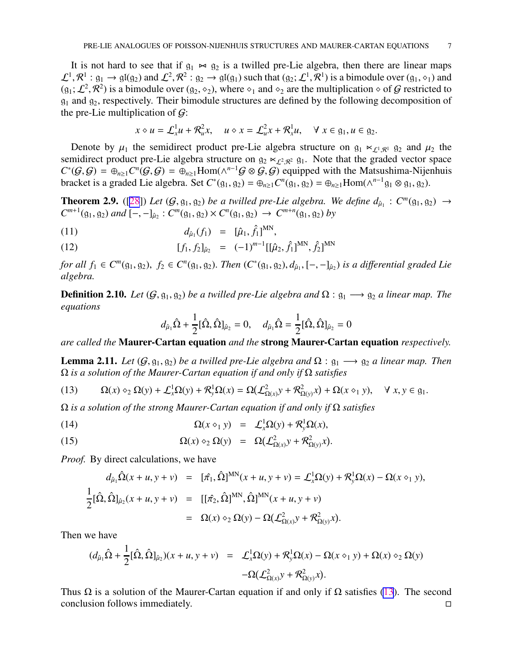<span id="page-6-0"></span>It is not hard to see that if  $g_1 \rightarrow g_2$  is a twilled pre-Lie algebra, then there are linear maps  $\mathcal{L}^1,\mathcal{R}^1:g_1\to\mathfrak{gl}(g_2)$  and  $\mathcal{L}^2,\mathcal{R}^2:g_2\to\mathfrak{gl}(g_1)$  such that  $(g_2;\mathcal{L}^1,\mathcal{R}^1)$  is a bimodule over  $(g_1,\diamond_1)$  and  $(g_1; \mathcal{L}^2, \mathcal{R}^2)$  is a bimodule over  $(g_2, \diamond_2)$ , where  $\diamond_1$  and  $\diamond_2$  are the multiplication  $\diamond$  of  $\mathcal G$  restricted to  $g_1$  and  $g_2$ , respectively. Their bimodule structures are defined by the following decomposition of the pre-Lie multiplication of  $\mathcal{G}$ :

$$
x \diamond u = \mathcal{L}_x^1 u + \mathcal{R}_u^2 x, \quad u \diamond x = \mathcal{L}_u^2 x + \mathcal{R}_x^1 u, \quad \forall \ x \in \mathfrak{g}_1, u \in \mathfrak{g}_2.
$$

Denote by  $\mu_1$  the semidirect product pre-Lie algebra structure on  $g_1 \ltimes_{\mathcal{L}^1, \mathcal{R}^1} g_2$  and  $\mu_2$  the semidirect product pre-Lie algebra structure on  $g_2 \ltimes_{\mathcal{L}^2,\mathcal{R}^2} g_1$ . Note that the graded vector space  $C^*(\mathcal{G}, \mathcal{G}) = \bigoplus_{n \geq 1} C^n(\mathcal{G}, \mathcal{G}) = \bigoplus_{n \geq 1} \text{Hom}(\wedge^{n-1}\mathcal{G} \otimes \mathcal{G}, \mathcal{G})$  equipped with the Matsushima-Nijenhuis bracket is a graded Lie algebra. Set  $C^*(g_1, g_2) = \bigoplus_{n \geq 1} C^n(g_1, g_2) = \bigoplus_{n \geq 1} \text{Hom}(\wedge^{n-1}g_1 \otimes g_1, g_2).$ 

**Theorem 2.9.** ([\[28](#page-25-0)]) Let  $(G, g_1, g_2)$  be a twilled pre-Lie algebra. We define  $d_{\hat{\mu}_1}$ :  $C^m(g_1, g_2) \rightarrow$  $C^{m+1}(\mathfrak{g}_1, \mathfrak{g}_2)$  *and*  $[-, -]_{\hat{\mu}_2}$ :  $C^m(\mathfrak{g}_1, \mathfrak{g}_2) \times C^n(\mathfrak{g}_1, \mathfrak{g}_2) \to C^{m+n}(\mathfrak{g}_1, \mathfrak{g}_2)$  *by* 

(11) 
$$
d_{\hat{\mu}_1}(f_1) = [\hat{\mu}_1, \hat{f}_1]^{MN},
$$

(12) 
$$
[f_1, f_2]_{\hat{\mu}_2} = (-1)^{m-1} [[\hat{\mu}_2, \hat{f}_1]^{MN}, \hat{f}_2]^{MN}
$$

*for all*  $f_1 \in C^m(\mathfrak{g}_1, \mathfrak{g}_2)$ ,  $f_2 \in C^n(\mathfrak{g}_1, \mathfrak{g}_2)$ . *Then*  $(C^*(\mathfrak{g}_1, \mathfrak{g}_2), d_{\hat{\mu}_1}, [-, -]_{\hat{\mu}_2})$  *is a differential graded Lie algebra.*

**Definition 2.10.** *Let* ( $G$ ,  $g_1$ ,  $g_2$ ) *be a twilled pre-Lie algebra and*  $\Omega$  :  $g_1 \longrightarrow g_2$  *a linear map. The equations*

$$
d_{\hat{\mu}_1}\hat{\Omega} + \frac{1}{2} [\hat{\Omega}, \hat{\Omega}]_{\hat{\mu}_2} = 0
$$
,  $d_{\hat{\mu}_1}\hat{\Omega} = \frac{1}{2} [\hat{\Omega}, \hat{\Omega}]_{\hat{\mu}_2} = 0$ 

*are called the* Maurer-Cartan equation *and the* strong Maurer-Cartan equation *respectively.*

**Lemma 2.11.** *Let*  $(G, g_1, g_2)$  *be a twilled pre-Lie algebra and*  $\Omega : g_1 \longrightarrow g_2$  *a linear map. Then* Ω *is a solution of the Maurer-Cartan equation if and only if* Ω *satisfies*

(13) 
$$
\Omega(x) \circ_2 \Omega(y) + \mathcal{L}_x^1 \Omega(y) + \mathcal{R}_y^1 \Omega(x) = \Omega(\mathcal{L}_{\Omega(x)}^2 y + \mathcal{R}_{\Omega(y)}^2 x) + \Omega(x \circ_1 y), \quad \forall \ x, y \in \mathfrak{g}_1.
$$

Ω *is a solution of the strong Maurer-Cartan equation if and only if* Ω *satisfies*

(14) 
$$
\Omega(x \diamond_1 y) = \mathcal{L}_x^1 \Omega(y) + \mathcal{R}_y^1 \Omega(x),
$$

(15) 
$$
\Omega(x) \diamond_2 \Omega(y) = \Omega(\mathcal{L}^2_{\Omega(x)} y + \mathcal{R}^2_{\Omega(y)} x).
$$

*Proof.* By direct calculations, we have

$$
d_{\hat{\mu}_1} \hat{\Omega}(x + u, y + v) = [\hat{\pi}_1, \hat{\Omega}]^{MN}(x + u, y + v) = \mathcal{L}_x^1 \Omega(y) + \mathcal{R}_y^1 \Omega(x) - \Omega(x \diamond_1 y),
$$
  
\n
$$
\frac{1}{2} [\hat{\Omega}, \hat{\Omega}]_{\hat{\mu}_2}(x + u, y + v) = [[\hat{\pi}_2, \hat{\Omega}]^{MN}, \hat{\Omega}]^{MN}(x + u, y + v)
$$
  
\n
$$
= \Omega(x) \diamond_2 \Omega(y) - \Omega(\mathcal{L}_{\Omega(x)}^2 y + \mathcal{R}_{\Omega(y)}^2 x).
$$

Then we have

$$
\begin{array}{rcl}\n(d_{\hat{\mu}_1}\hat{\Omega}+\frac{1}{2}[\hat{\Omega},\hat{\Omega}]_{\hat{\mu}_2})(x+u,y+\nu) &=& \mathcal{L}_x^1\Omega(y)+\mathcal{R}_y^1\Omega(x)-\Omega(x\diamond_1 y)+\Omega(x)\diamond_2\Omega(y) \\
&- \Omega(\mathcal{L}_{\Omega(x)}^2 y+\mathcal{R}_{\Omega(y)}^2 x).\n\end{array}
$$

Thus  $\Omega$  is a solution of the Maurer-Cartan equation if and only if  $\Omega$  satisfies (13). The second conclusion follows immediately.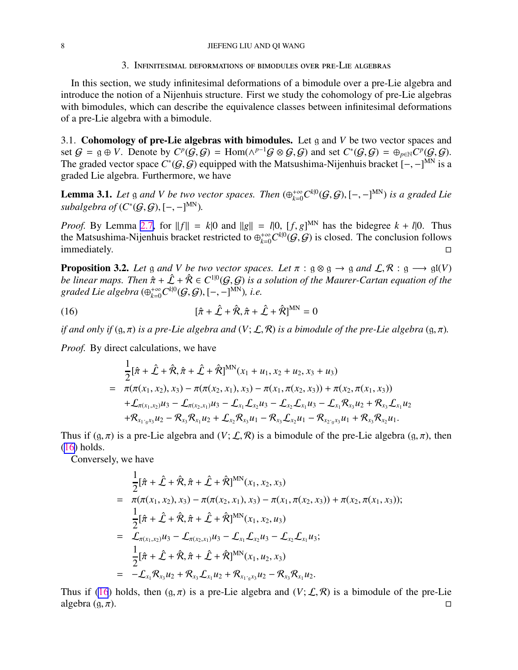#### <span id="page-7-0"></span>8 JIEFENG LIU AND QI WANG

3. Infinitesimal deformations of bimodules over pre-Lie algebras

In this section, we study infinitesimal deformations of a bimodule over a pre-Lie algebra and introduce the notion of a Nijenhuis structure. First we study the cohomology of pre-Lie algebras with bimodules, which can describe the equivalence classes between infinitesimal deformations of a pre-Lie algebra with a bimodule.

3.1. Cohomology of pre-Lie algebras with bimodules. Let g and *V* be two vector spaces and set  $G = g \oplus V$ . Denote by  $C^p(G, G) = \text{Hom}(\wedge^{p-1}G \otimes G, G)$  and set  $C^*(G, G) = \bigoplus_{p \in N} C^p(G, G)$ . The graded vector space  $C^*(\mathcal{G}, \mathcal{G})$  equipped with the Matsushima-Nijenhuis bracket  $[-, -]^{MN}$  is a graded Lie algebra. Furthermore, we have

**Lemma 3.1.** Let g and V be two vector spaces. Then  $(\bigoplus_{k=0}^{+\infty} C^{k|0}(G, G), [-,-]^{MN})$  is a graded Lie subalgebra of  $(C^*(\mathcal{G}, \mathcal{G}), [-,-]^{MN})$ .

*Proof.* By Lemma [2.7,](#page-5-0) for  $||f|| = k|0$  and  $||g|| = l|0$ ,  $[f, g]^{MN}$  has the bidegree  $k + l|0$ . Thus the Matsushima-Nijenhuis bracket restricted to  $\oplus_{k=0}^{+\infty} C^{k|0}(G, G)$  is closed. The conclusion follows immediately.  $\square$ 

**Proposition 3.2.** Let g and V be two vector spaces. Let  $\pi$  :  $g \otimes g \rightarrow g$  and  $\mathcal{L}, \mathcal{R} : g \rightarrow gI(V)$ *be linear maps. Then*  $\hat{\pi} + \hat{\mathcal{L}} + \hat{\mathcal{R}} \in C^{1|0}(\mathcal{G}, \mathcal{G})$  is a solution of the Maurer-Cartan equation of the  $\hat{g}$  *graded Lie algebra* ( $\oplus_{k=0}^{+\infty} C^{k|0}(\mathcal{G}, \mathcal{G}), [-,-]^{MN}$ ), *i.e.* 

(16) 
$$
[\hat{\pi} + \hat{\mathcal{L}} + \hat{\mathcal{R}}, \hat{\pi} + \hat{\mathcal{L}} + \hat{\mathcal{R}}]^{\text{MN}} = 0
$$

*if and only if*  $(g, \pi)$  *is a pre-Lie algebra and*  $(V; \mathcal{L}, \mathcal{R})$  *is a bimodule of the pre-Lie algebra*  $(g, \pi)$ *.* 

*Proof.* By direct calculations, we have

$$
\frac{1}{2}[\hat{\pi} + \hat{\mathcal{L}} + \hat{\mathcal{R}}, \hat{\pi} + \hat{\mathcal{L}} + \hat{\mathcal{R}}]^{MN}(x_1 + u_1, x_2 + u_2, x_3 + u_3) \n= \pi(\pi(x_1, x_2), x_3) - \pi(\pi(x_2, x_1), x_3) - \pi(x_1, \pi(x_2, x_3)) + \pi(x_2, \pi(x_1, x_3)) \n+ \mathcal{L}_{\pi(x_1, x_2)}u_3 - \mathcal{L}_{\pi(x_2, x_1)}u_3 - \mathcal{L}_{x_1}\mathcal{L}_{x_2}u_3 - \mathcal{L}_{x_2}\mathcal{L}_{x_1}u_3 - \mathcal{L}_{x_1}\mathcal{R}_{x_3}u_2 + \mathcal{R}_{x_3}\mathcal{L}_{x_1}u_2 \n+ \mathcal{R}_{x_1 \cdot_{g} x_3}u_2 - \mathcal{R}_{x_3}\mathcal{R}_{x_1}u_2 + \mathcal{L}_{x_2}\mathcal{R}_{x_3}u_1 - \mathcal{R}_{x_3}\mathcal{L}_{x_2}u_1 - \mathcal{R}_{x_2 \cdot_{g} x_3}u_1 + \mathcal{R}_{x_3}\mathcal{R}_{x_2}u_1.
$$

Thus if  $(g, \pi)$  is a pre-Lie algebra and  $(V; \mathcal{L}, \mathcal{R})$  is a bimodule of the pre-Lie algebra  $(g, \pi)$ , then (16) holds.

Conversely, we have

$$
\frac{1}{2}[\hat{\pi} + \hat{\mathcal{L}} + \hat{\mathcal{R}}, \hat{\pi} + \hat{\mathcal{L}} + \hat{\mathcal{R}}]^{MN}(x_1, x_2, x_3)
$$
\n
$$
= \pi(\pi(x_1, x_2), x_3) - \pi(\pi(x_2, x_1), x_3) - \pi(x_1, \pi(x_2, x_3)) + \pi(x_2, \pi(x_1, x_3));
$$
\n
$$
\frac{1}{2}[\hat{\pi} + \hat{\mathcal{L}} + \hat{\mathcal{R}}, \hat{\pi} + \hat{\mathcal{L}} + \hat{\mathcal{R}}]^{MN}(x_1, x_2, u_3)
$$
\n
$$
= \mathcal{L}_{\pi(x_1, x_2)}u_3 - \mathcal{L}_{\pi(x_2, x_1)}u_3 - \mathcal{L}_{x_1}\mathcal{L}_{x_2}u_3 - \mathcal{L}_{x_2}\mathcal{L}_{x_1}u_3;
$$
\n
$$
\frac{1}{2}[\hat{\pi} + \hat{\mathcal{L}} + \hat{\mathcal{R}}, \hat{\pi} + \hat{\mathcal{L}} + \hat{\mathcal{R}}]^{MN}(x_1, u_2, x_3)
$$
\n
$$
= -\mathcal{L}_{x_1}\mathcal{R}_{x_3}u_2 + \mathcal{R}_{x_3}\mathcal{L}_{x_1}u_2 + \mathcal{R}_{x_1 \cdot_{\mathcal{S}} x_3}u_2 - \mathcal{R}_{x_3}\mathcal{R}_{x_1}u_2.
$$

Thus if (16) holds, then  $(g, \pi)$  is a pre-Lie algebra and  $(V; \mathcal{L}, \mathcal{R})$  is a bimodule of the pre-Lie algebra  $(g, \pi)$ .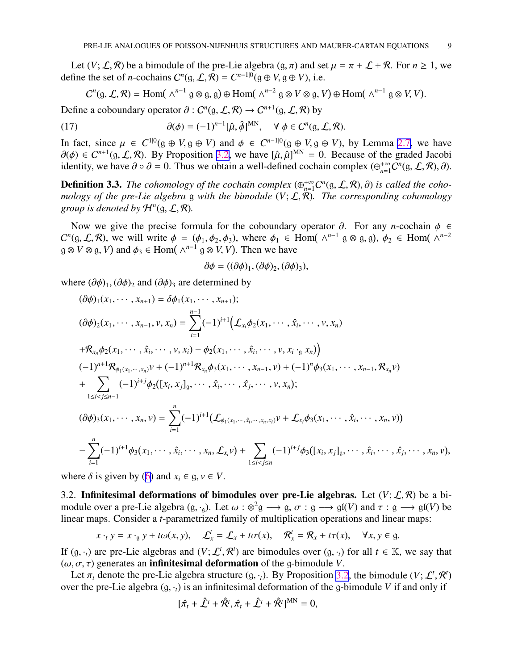<span id="page-8-0"></span>Let  $(V; \mathcal{L}, \mathcal{R})$  be a bimodule of the pre-Lie algebra  $(q, \pi)$  and set  $\mu = \pi + \mathcal{L} + \mathcal{R}$ . For  $n \ge 1$ , we define the set of *n*-cochains  $C^n(g, \mathcal{L}, \mathcal{R}) = C^{n-1|0}(g \oplus V, g \oplus V)$ , i.e.

$$
C^{n}(\mathfrak{g}, \mathcal{L}, \mathcal{R}) = \text{Hom}(\wedge^{n-1} \mathfrak{g} \otimes \mathfrak{g}, \mathfrak{g}) \oplus \text{Hom}(\wedge^{n-2} \mathfrak{g} \otimes V \otimes \mathfrak{g}, V) \oplus \text{Hom}(\wedge^{n-1} \mathfrak{g} \otimes V, V).
$$

Define a coboundary operator  $\partial$  :  $C^n(g, \mathcal{L}, \mathcal{R}) \to C^{n+1}(g, \mathcal{L}, \mathcal{R})$  by

(17) 
$$
\partial(\phi) = (-1)^{n-1} [\hat{\mu}, \hat{\phi}]^{MN}, \quad \forall \phi \in C^n(\mathfrak{g}, \mathcal{L}, \mathcal{R}).
$$

In fact, since  $\mu \in C^{1|0}(\mathfrak{g} \oplus V, \mathfrak{g} \oplus V)$  and  $\phi \in C^{n-1|0}(\mathfrak{g} \oplus V, \mathfrak{g} \oplus V)$ , by Lemma [2.7](#page-5-0), we have  $\partial(\phi) \in C^{n+1}(\mathfrak{g}, \mathcal{L}, \mathcal{R})$ . By Proposition [3.2,](#page-7-0) we have  $[\hat{\mu}, \hat{\mu}]^{MN} = 0$ . Because of the graded Jacobi identity, we have  $\partial \circ \partial = 0$ . Thus we obtain a well-defined cochain complex  $(\bigoplus_{n=1}^{+\infty} C^n(g, \mathcal{L}, \mathcal{R}), \partial)$ .

**Definition 3.3.** *The cohomology of the cochain complex*  $(\bigoplus_{n=1}^{+\infty} C^n(\mathfrak{g}, \mathcal{L}, \mathcal{R}), \partial)$  *is called the cohomology of the pre-Lie algebra* g *with the bimodule* (*V*; L, R)*. The corresponding cohomology group is denoted by*  $\mathcal{H}^n(\mathfrak{g}, \mathcal{L}, \mathcal{R})$ *.* 

Now we give the precise formula for the coboundary operator  $\partial$ . For any *n*-cochain  $\phi$  ∈  $C^n(g, \mathcal{L}, \mathcal{R})$ , we will write  $\phi = (\phi_1, \phi_2, \phi_3)$ , where  $\phi_1 \in \text{Hom}(\wedge^{n-1} g \otimes g, g)$ ,  $\phi_2 \in \text{Hom}(\wedge^{n-2} g)$  $g \otimes V \otimes g$ , *V*) and  $\phi_3 \in \text{Hom}(\wedge^{n-1} g \otimes V, V)$ . Then we have

$$
\partial \phi = ((\partial \phi)_1, (\partial \phi)_2, (\partial \phi)_3),
$$

where  $(\partial \phi)_1$ ,  $(\partial \phi)_2$  and  $(\partial \phi)_3$  are determined by

$$
(\partial \phi)_1(x_1, \dots, x_{n+1}) = \delta \phi_1(x_1, \dots, x_{n+1});
$$
  
\n
$$
(\partial \phi)_2(x_1, \dots, x_{n-1}, v, x_n) = \sum_{i=1}^{n-1} (-1)^{i+1} \Big( \mathcal{L}_{x_i} \phi_2(x_1, \dots, \hat{x}_i, \dots, v, x_n) + \mathcal{R}_{x_n} \phi_2(x_1, \dots, \hat{x}_i, \dots, v, x_i) - \phi_2(x_1, \dots, \hat{x}_i, \dots, v, x_i \cdot \mathbf{y}, x_i) \Big)
$$
  
\n
$$
(-1)^{n+1} \mathcal{R}_{\phi_1(x_1, \dots, x_n)} v + (-1)^{n+1} \mathcal{R}_{x_n} \phi_3(x_1, \dots, x_{n-1}, v) + (-1)^n \phi_3(x_1, \dots, x_{n-1}, \mathcal{R}_{x_n} v) + \sum_{1 \le i < j \le n-1} (-1)^{i+j} \phi_2([x_i, x_j]_g, \dots, \hat{x}_i, \dots, \hat{x}_j, \dots, v, x_n);
$$
  
\n
$$
(\partial \phi)_3(x_1, \dots, x_n, v) = \sum_{i=1}^n (-1)^{i+1} (\mathcal{L}_{\phi_1(x_1, \dots, \hat{x}_i, \dots, x_n, x_i)} v + \mathcal{L}_{x_i} \phi_3(x_1, \dots, \hat{x}_i, \dots, x_n, v)) - \sum_{i=1}^n (-1)^{i+1} \phi_3(x_1, \dots, \hat{x}_i, \dots, x_n, \mathcal{L}_{x_i} v) + \sum_{1 \le i < j \le n} (-1)^{i+j} \phi_3([x_i, x_j]_g, \dots, \hat{x}_i, \dots, x_n, v)
$$

,

where  $\delta$  is given by ([6\)](#page-4-0) and  $x_i \in \mathfrak{g}, v \in V$ .

3.2. Infinitesimal deformations of bimodules over pre-Lie algebras. Let  $(V; \mathcal{L}, \mathcal{R})$  be a bimodule over a pre-Lie algebra  $(g, \cdot_g)$ . Let  $\omega : \otimes^2 g \longrightarrow g, \sigma : g \longrightarrow gl(V)$  and  $\tau : g \longrightarrow gl(V)$  be linear maps. Consider a *t*-parametrized family of multiplication operations and linear maps:

$$
x \cdot_t y = x \cdot_g y + t\omega(x, y),
$$
  $\mathcal{L}_x^t = \mathcal{L}_x + t\sigma(x),$   $\mathcal{R}_x^t = \mathcal{R}_x + t\tau(x),$   $\forall x, y \in g.$ 

If  $(g, \cdot_t)$  are pre-Lie algebras and  $(V; \mathcal{L}^t, \mathcal{R}^t)$  are bimodules over  $(g, \cdot_t)$  for all  $t \in \mathbb{K}$ , we say that  $(\omega, \sigma, \tau)$  generates an **infinitesimal deformation** of the g-bimodule *V*.

Let  $\pi_t$  denote the pre-Lie algebra structure  $(g, \cdot_t)$ . By Proposition [3.2](#page-7-0), the bimodule  $(V; \mathcal{L}^t, \mathcal{R}^t)$ over the pre-Lie algebra  $(g, \cdot_t)$  is an infinitesimal deformation of the g-bimodule *V* if and only if

$$
[\hat{\pi}_t + \hat{\mathcal{L}}^t + \hat{\mathcal{R}}^t, \hat{\pi}_t + \hat{\mathcal{L}}^t + \hat{\mathcal{R}}^t]^{MN} = 0,
$$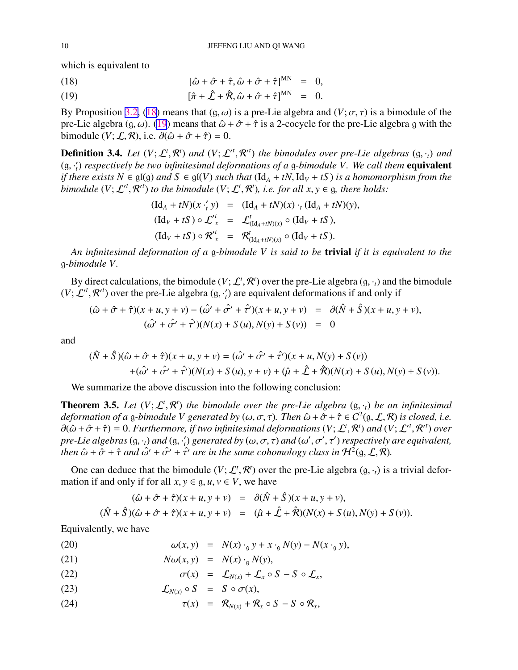<span id="page-9-0"></span>which is equivalent to

(18) 
$$
[\hat{\omega} + \hat{\sigma} + \hat{\tau}, \hat{\omega} + \hat{\sigma} + \hat{\tau}]^{MN} = 0,
$$

(19) 
$$
[\hat{\pi} + \hat{\mathcal{L}} + \hat{\mathcal{R}}, \hat{\omega} + \hat{\sigma} + \hat{\tau}]^{MN} = 0.
$$

By Proposition [3.2,](#page-7-0) (18) means that  $(q, \omega)$  is a pre-Lie algebra and  $(V; \sigma, \tau)$  is a bimodule of the pre-Lie algebra (g,  $\omega$ ). (19) means that  $\hat{\omega} + \hat{\sigma} + \hat{\tau}$  is a 2-cocycle for the pre-Lie algebra g with the bimodule  $(V; \mathcal{L}, \mathcal{R})$ , i.e.  $\partial(\hat{\omega} + \hat{\sigma} + \hat{\tau}) = 0$ .

**Definition 3.4.** Let  $(V; \mathcal{L}^t, \mathcal{R}^t)$  and  $(V; \mathcal{L}^t, \mathcal{R}^{t})$  the bimodules over pre-Lie algebras  $(g, \cdot_t)$  and (g, · ′ *t* ) *respectively be two infinitesimal deformations of a* g*-bimodule V. We call them* equivalent *if there exists*  $N \in \mathfrak{gl}(g)$  *and*  $S \in \mathfrak{gl}(V)$  *such that*  $(\text{Id}_A + tN, \text{Id}_V + tS)$  *is a homomorphism from the bimodule*  $(V; \mathcal{L}'^t, \mathcal{R}'^t)$  *to the bimodule*  $(V; \mathcal{L}^t, \mathcal{R}^t)$ *, i.e. for all*  $x, y \in \mathfrak{g}$ *, there holds:* 

$$
(\mathrm{Id}_A + tN)(x \cdot'_t y) = (\mathrm{Id}_A + tN)(x) \cdot_t (\mathrm{Id}_A + tN)(y),
$$
  
\n
$$
(\mathrm{Id}_V + tS) \circ \mathcal{L'}_x^t = \mathcal{L'}_{(\mathrm{Id}_A + tN)(x)} \circ (\mathrm{Id}_V + tS),
$$
  
\n
$$
(\mathrm{Id}_V + tS) \circ \mathcal{R'}_x^t = \mathcal{R'}_{(\mathrm{Id}_A + tN)(x)} \circ (\mathrm{Id}_V + tS).
$$

*An infinitesimal deformation of a* g*-bimodule V is said to be* trivial *if it is equivalent to the* g*-bimodule V.*

By direct calculations, the bimodule  $(V; \mathcal{L}^t, \mathcal{R}^t)$  over the pre-Lie algebra  $(g, \cdot_t)$  and the bimodule  $(V; \mathcal{L}^{\prime t}, \mathcal{R}^{\prime t})$  over the pre-Lie algebra  $(g, \cdot_i')$  are equivalent deformations if and only if

$$
(\hat{\omega} + \hat{\sigma} + \hat{\tau})(x + u, y + v) - (\hat{\omega'} + \hat{\sigma'} + \hat{\tau'})(x + u, y + v) = \partial(\hat{N} + \hat{S})(x + u, y + v),
$$
  

$$
(\hat{\omega'} + \hat{\sigma'} + \hat{\tau'})(N(x) + S(u), N(y) + S(v)) = 0
$$

and

$$
(\hat{N} + \hat{S})(\hat{\omega} + \hat{\sigma} + \hat{\tau})(x + u, y + v) = (\hat{\omega'} + \hat{\sigma'} + \hat{\tau'})(x + u, N(y) + S(v)) + (\hat{\omega'} + \hat{\sigma'} + \hat{\tau'})(N(x) + S(u), y + v) + (\hat{\mu} + \hat{\mathcal{L}} + \hat{\mathcal{R}})(N(x) + S(u), N(y) + S(v)).
$$

We summarize the above discussion into the following conclusion:

**Theorem 3.5.** Let  $(V; \mathcal{L}^t, \mathcal{R}^t)$  the bimodule over the pre-Lie algebra  $(g, \cdot_t)$  be an infinitesimal deformation of a g-bimodule V generated by  $(\omega, \sigma, \tau)$ . Then  $\hat{\omega} + \hat{\sigma} + \hat{\tau} \in C^2(\mathfrak{g}, \mathcal{L}, \mathcal{R})$  is closed, i.e.  $\partial(\hat{\omega} + \hat{\sigma} + \hat{\tau}) = 0$ . Furthermore, if two infinitesimal deformations  $(V; \mathcal{L}^t, \mathcal{R}^t)$  and  $(V; \mathcal{L}^t, \mathcal{R}^{t})$  over *pre-Lie algebras*  $(g, \cdot_t)$  *and*  $(g, \cdot_t')$  *generated by*  $(\omega, \sigma, \tau)$  *and*  $(\omega', \sigma', \tau')$  *respectively are equivalent, then*  $\hat{\omega}$  +  $\hat{\sigma}$  +  $\hat{\tau}$  *and*  $\hat{\omega}'$  +  $\hat{\sigma}'$  +  $\hat{\tau}'$  *are in the same cohomology class in*  $\mathcal{H}^2(\mathfrak{g}, \mathcal{L}, \mathcal{R})$ .

One can deduce that the bimodule  $(V; \mathcal{L}^t, \mathcal{R}^t)$  over the pre-Lie algebra  $(g, \cdot_t)$  is a trivial deformation if and only if for all  $x, y \in \mathfrak{q}, u, v \in V$ , we have

$$
(\hat{\omega} + \hat{\sigma} + \hat{\tau})(x + u, y + v) = \partial(\hat{N} + \hat{S})(x + u, y + v),
$$
  

$$
(\hat{N} + \hat{S})(\hat{\omega} + \hat{\sigma} + \hat{\tau})(x + u, y + v) = (\hat{\mu} + \hat{\mathcal{L}} + \hat{\mathcal{R}})(N(x) + S(u), N(y) + S(v)).
$$

Equivalently, we have

(20) 
$$
\omega(x, y) = N(x) \cdot_{g} y + x \cdot_{g} N(y) - N(x \cdot_{g} y),
$$

(21) 
$$
N\omega(x, y) = N(x) \cdot_{\mathfrak{g}} N(y),
$$

- (22)  $\sigma(x) = \mathcal{L}_{N(x)} + \mathcal{L}_x \circ S S \circ \mathcal{L}_x,$
- (23)  $\mathcal{L}_{N(x)} \circ S = S \circ \sigma(x),$
- (24)  $\tau(x) = \mathcal{R}_{N(x)} + \mathcal{R}_x \circ S S \circ \mathcal{R}_x,$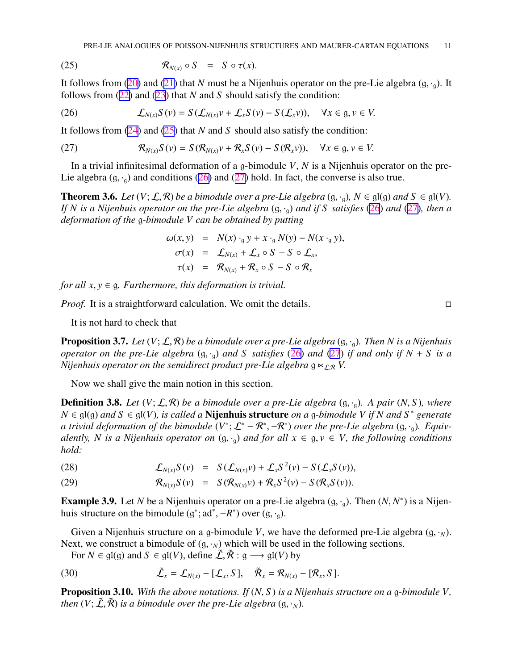<span id="page-10-0"></span>(25) 
$$
\mathcal{R}_{N(x)} \circ S = S \circ \tau(x).
$$

It follows from ([20\)](#page-9-0) and ([21\)](#page-9-0) that *N* must be a Nijenhuis operator on the pre-Lie algebra  $(g, \cdot_g)$ . It follows from ([22\)](#page-9-0) and ([23\)](#page-9-0) that *N* and *S* should satisfy the condition:

(26) 
$$
\mathcal{L}_{N(x)}S(v) = S(\mathcal{L}_{N(x)}v + \mathcal{L}_xS(v) - S(\mathcal{L}_x v)), \quad \forall x \in \mathfrak{g}, v \in V.
$$

It follows from [\(24](#page-9-0)) and [\(25](#page-9-0)) that *N* and *S* should also satisfy the condition:

(27) 
$$
\mathcal{R}_{N(x)}S(v) = S(\mathcal{R}_{N(x)}v + \mathcal{R}_xS(v) - S(\mathcal{R}_x v)), \quad \forall x \in \mathfrak{g}, v \in V.
$$

In a trivial infinitesimal deformation of a g-bimodule *V*, *N* is a Nijenhuis operator on the pre-Lie algebra  $(g, \cdot_{\alpha})$  and conditions (26) and (27) hold. In fact, the converse is also true.

**Theorem 3.6.** *Let*  $(V; \mathcal{L}, \mathcal{R})$  *be a bimodule over a pre-Lie algebra*  $(g, \cdot_g)$ *,*  $N \in \mathfrak{gl}(g)$  *and*  $S \in \mathfrak{gl}(V)$ *. If N is a Nijenhuis operator on the pre-Lie algebra* (g, ·g) *and if S satisfies* (26) *and* (27)*, then a deformation of the* g*-bimodule V can be obtained by putting*

$$
\omega(x, y) = N(x) \cdot_{g} y + x \cdot_{g} N(y) - N(x \cdot_{g} y),
$$
  
\n
$$
\sigma(x) = \mathcal{L}_{N(x)} + \mathcal{L}_{x} \circ S - S \circ \mathcal{L}_{x},
$$
  
\n
$$
\tau(x) = \mathcal{R}_{N(x)} + \mathcal{R}_{x} \circ S - S \circ \mathcal{R}_{x}
$$

*for all*  $x, y \in \mathfrak{g}$ *. Furthermore, this deformation is trivial.* 

*Proof.* It is a straightforward calculation. We omit the details. □

It is not hard to check that

**Proposition 3.7.** *Let*  $(V; \mathcal{L}, \mathcal{R})$  *be a bimodule over a pre-Lie algebra*  $(g, \cdot_g)$ *. Then N is a Nijenhuis operator on the pre-Lie algebra*  $(g, \cdot_q)$  *and S satisfies* (26) *and* (27) *if and only if*  $N + S$  *is a Nijenhuis operator on the semidirect product pre-Lie algebra*  $g \ltimes_{f.R} V$ .

Now we shall give the main notion in this section.

**Definition 3.8.** Let  $(V; \mathcal{L}, \mathcal{R})$  be a bimodule over a pre-Lie algebra  $(g, \cdot_g)$ . A pair  $(N, S)$ , where *N* ∈ gl(g) *and S* ∈ gl(*V*)*, is called a* Nijenhuis structure *on a* g*-bimodule V if N and S* <sup>∗</sup> *generate a* trivial deformation of the bimodule  $(V^*; \mathcal{L}^* - \mathcal{R}^*, -\mathcal{R}^*)$  over the pre-Lie algebra  $(g, \cdot_g)$ . Equiv*alently, N is a Nijenhuis operator on*  $(g, \cdot_q)$  *and for all*  $x \in g, v \in V$ *, the following conditions hold:*

(28) 
$$
\mathcal{L}_{N(x)}S(v) = S(\mathcal{L}_{N(x)}v) + \mathcal{L}_xS^2(v) - S(\mathcal{L}_xS(v)),
$$

(29) 
$$
\mathcal{R}_{N(x)} S(v) = S(\mathcal{R}_{N(x)} v) + \mathcal{R}_{x} S^{2}(v) - S(\mathcal{R}_{x} S(v)).
$$

**Example 3.9.** Let *N* be a Nijenhuis operator on a pre-Lie algebra  $(g, \cdot_g)$ . Then  $(N, N^*)$  is a Nijenhuis structure on the bimodule  $(g^*; ad^*, -R^*)$  over  $(g, \cdot_g)$ .

Given a Nijenhuis structure on a g-bimodule *V*, we have the deformed pre-Lie algebra  $(g, \cdot_N)$ . Next, we construct a bimodule of  $(g, \cdot_N)$  which will be used in the following sections.

For  $N \in \mathfrak{gl}(g)$  and  $S \in \mathfrak{gl}(V)$ , define  $\tilde{\mathcal{L}}, \tilde{\mathcal{R}} : g \longrightarrow \mathfrak{gl}(V)$  by

(30) 
$$
\tilde{\mathcal{L}}_x = \mathcal{L}_{N(x)} - [\mathcal{L}_x, S], \quad \tilde{\mathcal{R}}_x = \mathcal{R}_{N(x)} - [\mathcal{R}_x, S].
$$

Proposition 3.10. *With the above notations. If* (*N*, *S* ) *is a Nijenhuis structure on a* g*-bimodule V, then*  $(V; \tilde{\mathcal{L}}, \tilde{\mathcal{R}})$  *is a bimodule over the pre-Lie algebra*  $(g, \cdot_N)$ *.*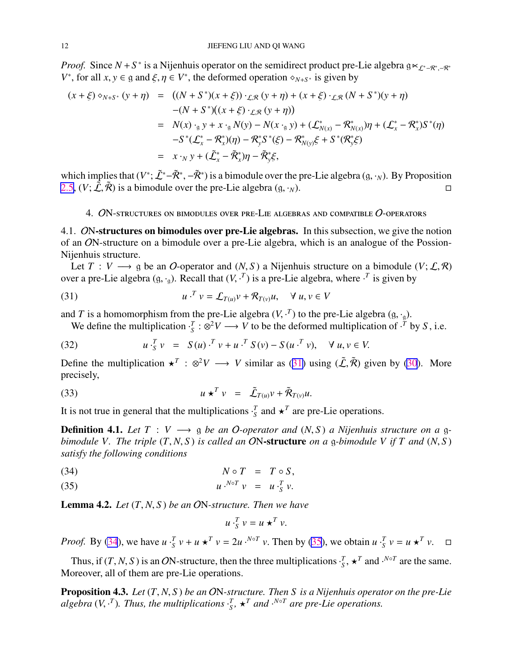<span id="page-11-0"></span>*Proof.* Since  $N + S^*$  is a Nijenhuis operator on the semidirect product pre-Lie algebra  $g \lt_{\mathcal{L}^* - R^*,-R^*}$ *V*<sup>\*</sup>, for all *x*, *y*  $\in$  g and  $\xi$ ,  $\eta \in V^*$ , the deformed operation  $\diamond_{N+S^*}$  is given by

$$
(x + \xi) \circ_{N+S^*} (y + \eta) = ((N + S^*)(x + \xi)) \cdot_{\mathcal{L}, \mathcal{R}} (y + \eta) + (x + \xi) \cdot_{\mathcal{L}, \mathcal{R}} (N + S^*)(y + \eta)
$$
  
\n
$$
-(N + S^*)(x + \xi) \cdot_{\mathcal{L}, \mathcal{R}} (y + \eta))
$$
  
\n
$$
= N(x) \cdot_{g} y + x \cdot_{g} N(y) - N(x \cdot_{g} y) + (\mathcal{L}^*_{N(x)} - \mathcal{R}^*_{N(x)}) \eta + (\mathcal{L}^*_{x} - \mathcal{R}^*_{x}) S^*(\eta)
$$
  
\n
$$
-S^*(\mathcal{L}^*_{x} - \mathcal{R}^*_{x}) (\eta) - \mathcal{R}^*_{y} S^*(\xi) - \mathcal{R}^*_{N(y)} \xi + S^*(\mathcal{R}^*_{y} \xi)
$$
  
\n
$$
= x \cdot_{N} y + (\tilde{\mathcal{L}}^*_{x} - \tilde{\mathcal{R}}^*_{x}) \eta - \tilde{\mathcal{R}}^*_{y} \xi,
$$

which implies that  $(V^*; \tilde{L}^*-\tilde{R}^*, -\tilde{R}^*)$  is a bimodule over the pre-Lie algebra  $(g, \cdot_N)$ . By Proposition [2.5](#page-3-0),  $(V; \tilde{\mathcal{L}}, \tilde{\mathcal{R}})$  is a bimodule over the pre-Lie algebra  $(g, \cdot_N)$ .

## 4. ON-structures on bimodules over pre-Lie algebras and compatible O-operators

4.1. ON-structures on bimodules over pre-Lie algebras. In this subsection, we give the notion of an ON-structure on a bimodule over a pre-Lie algebra, which is an analogue of the Possion-Nijenhuis structure.

Let  $T: V \longrightarrow$  g be an O-operator and  $(N, S)$  a Nijenhuis structure on a bimodule  $(V; \mathcal{L}, \mathcal{R})$ over a pre-Lie algebra  $(g, \cdot_g)$ . Recall that  $(V, \cdot^T)$  is a pre-Lie algebra, where  $\cdot^T$  is given by

(31) 
$$
u \cdot^T v = \mathcal{L}_{T(u)} v + \mathcal{R}_{T(v)} u, \quad \forall u, v \in V
$$

and *T* is a homomorphism from the pre-Lie algebra  $(V, \cdot^T)$  to the pre-Lie algebra  $(g, \cdot_g)$ .

We define the multiplication  $\cdot$ <sup>*T*</sup> :  $\otimes$ <sup>2</sup>*V* → *V* to be the deformed multiplication of  $\cdot$ <sup>*T*</sup> by *S*, i.e.

(32) 
$$
u \cdot_{S}^{T} v = S(u) \cdot_{S}^{T} v + u \cdot_{S}^{T} S(v) - S(u \cdot_{S}^{T} v), \quad \forall u, v \in V.
$$

Define the multiplication  $\star^T : \otimes^2 V \longrightarrow V$  similar as (31) using ( $\tilde{\mathcal{L}}, \tilde{\mathcal{R}}$ ) given by [\(30](#page-10-0)). More precisely,

(33) 
$$
u \star^T v = \tilde{\mathcal{L}}_{T(u)} v + \tilde{\mathcal{R}}_{T(v)} u.
$$

It is not true in general that the multiplications  $\cdot \frac{r}{s}$  and  $\star^T$  are pre-Lie operations.

**Definition 4.1.** Let  $T: V \longrightarrow Q$  be an O-operator and  $(N, S)$  a Nijenhuis structure on a g*bimodule V. The triple* (*T*, *N*, *S* ) *is called an* ON-structure *on a* g*-bimodule V if T and* (*N*, *S* ) *satisfy the following conditions*

$$
(34) \t\t N \circ T = T \circ S,
$$

$$
(35) \t u.N v = u.T v.
$$

Lemma 4.2. *Let* (*T*, *N*, *S* ) *be an* ON*-structure. Then we have*

$$
u\cdot_S^T v = u \star^T v.
$$

*Proof.* By (34), we have  $u \cdot \frac{T}{S} v + u \star^T v = 2u \cdot {}^{N \circ T} v$ . Then by (35), we obtain  $u \cdot \frac{T}{S} v = u \star^T v$ .  $\Box$ 

Thus, if  $(T, N, S)$  is an ON-structure, then the three multiplications  $\cdot_S^T$ ,  $\star^T$  and  $\cdot^{N \circ T}$  are the same. Moreover, all of them are pre-Lie operations.

Proposition 4.3. *Let* (*T*, *N*, *S* ) *be an* ON*-structure. Then S is a Nijenhuis operator on the pre-Lie algebra*  $(V, \cdot^T)$ *. Thus, the multiplications*  $\cdot^T_s$ ,  $\star^T$  *and*  $\cdot^{N \circ T}$  *are pre-Lie operations.*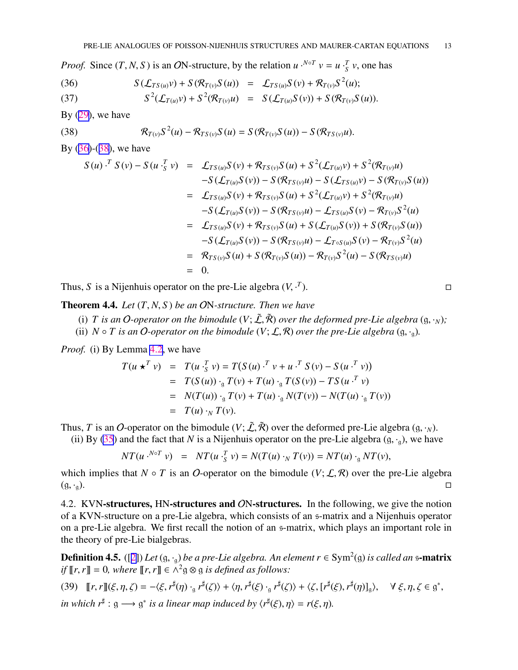<span id="page-12-0"></span>*Proof.* Since  $(T, N, S)$  is an ON-structure, by the relation  $u \cdot N \circ T} v = u \cdot S \cdot S$ , one has

(36) 
$$
S(\mathcal{L}_{TS(u)}v) + S(\mathcal{R}_{T(v)}S(u)) = \mathcal{L}_{TS(u)}S(v) + \mathcal{R}_{T(v)}S^{2}(u);
$$

(37) 
$$
S^{2}(\mathcal{L}_{T(u)}v) + S^{2}(\mathcal{R}_{T(v)}u) = S(\mathcal{L}_{T(u)}S(v)) + S(\mathcal{R}_{T(v)}S(u)).
$$

By  $(29)$  $(29)$ , we have

(38) 
$$
\mathcal{R}_{T(v)}S^{2}(u) - \mathcal{R}_{TS(v)}S(u) = S(\mathcal{R}_{T(v)}S(u)) - S(\mathcal{R}_{TS(v)}u).
$$

By (36)-(38), we have

$$
S(u) \cdot^T S(v) - S(u \cdot^T_S v) = \mathcal{L}_{TS(u)}S(v) + \mathcal{R}_{TS(v)}S(u) + S^2(\mathcal{L}_{T(u)}v) + S^2(\mathcal{R}_{T(v)}u)
$$
  
\n
$$
-S(\mathcal{L}_{T(u)}S(v)) - S(\mathcal{R}_{TS(v)}u) - S(\mathcal{L}_{TS(u)}v) - S(\mathcal{R}_{T(v)}S(u))
$$
  
\n
$$
= \mathcal{L}_{TS(u)}S(v) + \mathcal{R}_{TS(v)}S(u) + S^2(\mathcal{L}_{T(u)}v) + S^2(\mathcal{R}_{T(v)}u)
$$
  
\n
$$
-S(\mathcal{L}_{T(u)}S(v)) - S(\mathcal{R}_{TS(v)}u) - \mathcal{L}_{TS(u)}S(v) - \mathcal{R}_{T(v)}S^2(u)
$$
  
\n
$$
= \mathcal{L}_{TS(u)}S(v) + \mathcal{R}_{TS(v)}S(u) + S(\mathcal{L}_{T(u)}S(v)) + S(\mathcal{R}_{T(v)}S(u))
$$
  
\n
$$
-S(\mathcal{L}_{T(u)}S(v)) - S(\mathcal{R}_{TS(v)}u) - \mathcal{L}_{T\circ S(u)}S(v) - \mathcal{R}_{T(v)}S^2(u)
$$
  
\n
$$
= \mathcal{R}_{TS(v)}S(u) + S(\mathcal{R}_{T(v)}S(u)) - \mathcal{R}_{T(v)}S^2(u) - S(\mathcal{R}_{TS(v)}u)
$$
  
\n
$$
= 0.
$$

Thus, *S* is a Nijenhuis operator on the pre-Lie algebra (*V*, · *T*  $\Box$ 

Theorem 4.4. *Let* (*T*, *N*, *S* ) *be an* ON*-structure. Then we have*

- (i) *T* is an *O*-operator on the bimodule  $(V; \tilde{\mathcal{L}}, \tilde{\mathcal{R}})$  over the deformed pre-Lie algebra  $(g, \cdot_N);$
- (ii)  $N \circ T$  is an O-operator on the bimodule  $(V; \mathcal{L}, \mathcal{R})$  over the pre-Lie algebra  $(g, \cdot_g)$ .

*Proof.* (i) By Lemma [4.2](#page-11-0), we have

$$
T(u \star^T v) = T(u \cdot_S^T v) = T(S(u) \cdot^T v + u \cdot^T S(v) - S(u \cdot^T v))
$$
  
= 
$$
T(S(u)) \cdot_S T(v) + T(u) \cdot_S T(S(v)) - TS(u \cdot^T v)
$$
  
= 
$$
N(T(u)) \cdot_S T(v) + T(u) \cdot_S N(T(v)) - N(T(u) \cdot_S T(v))
$$
  
= 
$$
T(u) \cdot_N T(v).
$$

Thus, *T* is an *O*-operator on the bimodule  $(V; \tilde{\mathcal{L}}, \tilde{\mathcal{R}})$  over the deformed pre-Lie algebra  $(g, \cdot_N)$ .

(ii) By [\(35](#page-11-0)) and the fact that *N* is a Nijenhuis operator on the pre-Lie algebra  $(g, \cdot_g)$ , we have

$$
NT(u \cdot {}^{N \circ T} v) = NT(u \cdot {}^{T}_{S} v) = N(T(u) \cdot {}_{N} T(v)) = NT(u) \cdot {}_{S} NT(v),
$$

which implies that  $N \circ T$  is an O-operator on the bimodule  $(V; \mathcal{L}, \mathcal{R})$  over the pre-Lie algebra  $(g, \cdot_g)$ .

4.2. KVN-structures, HN-structures and ON-structures. In the following, we give the notion of a KVN-structure on a pre-Lie algebra, which consists of an s-matrix and a Nijenhuis operator on a pre-Lie algebra. We first recall the notion of an s-matrix, which plays an important role in the theory of pre-Lie bialgebras.

 $\bf{Definition 4.5.}$  ([[2\]](#page-24-0))  $Let$  (g,  $\cdot_{\frak{g}})$  *be a pre-Lie algebra. An element r*  $\in$  Sym $^2$ (g) *is called an* s**-matrix** *if*  $\llbracket r, r \rrbracket = 0$ , where  $\llbracket r, r \rrbracket \in \Lambda^2$   $\varnothing \varnothing \varnothing$  *is defined as follows:* 

(39) 
$$
[[r, r]](\xi, \eta, \zeta) = -\langle \xi, r^{\sharp}(\eta) \cdot_{g} r^{\sharp}(\zeta) \rangle + \langle \eta, r^{\sharp}(\xi) \cdot_{g} r^{\sharp}(\zeta) \rangle + \langle \zeta, [r^{\sharp}(\xi), r^{\sharp}(\eta)]_{g} \rangle, \quad \forall \xi, \eta, \zeta \in g^{*},
$$
  
in which  $r^{\sharp} : g \longrightarrow g^{*}$  is a linear map induced by  $\langle r^{\sharp}(\xi), \eta \rangle = r(\xi, \eta)$ .

$$
\qquad \qquad \Box
$$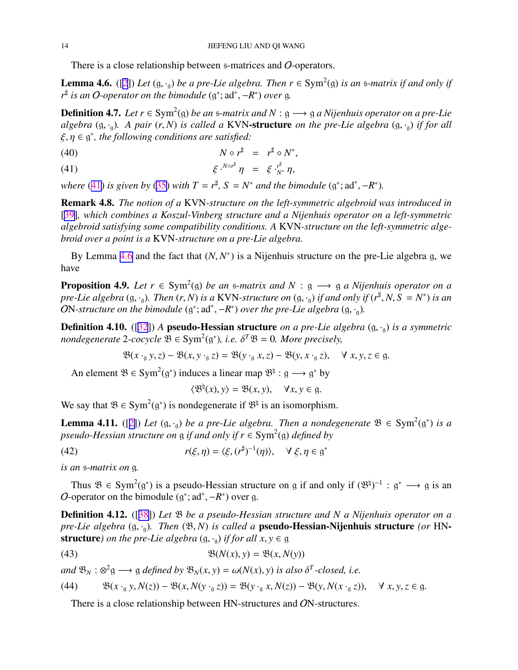<span id="page-13-0"></span>There is a close relationship between s-matrices and O-operators.

**Lemma 4.6.** ([\[2](#page-24-0)]) Let  $(g, \cdot_g)$  be a pre-Lie algebra. Then  $r \in Sym^2(g)$  is an  $\infty$ -matrix if and only if *r*<sup>‡</sup> is an *O*-operator on the bimodule (g<sup>\*</sup>; ad<sup>\*</sup>, −*R*<sup>\*</sup>) over g.

**Definition 4.7.** Let  $r \in Sym^2(\mathfrak{g})$  be an  $\mathfrak{s}$ -matrix and  $N : \mathfrak{g} \longrightarrow \mathfrak{g}$  a Nijenhuis operator on a pre-Lie *algebra*  $(g, \cdot_g)$ *. A pair*  $(r, N)$  *is called a* KVN-structure *on the pre-Lie algebra*  $(g, \cdot_g)$  *if for all*  $\xi, \eta \in \mathfrak{g}^*$ , the following conditions are satisfied:

$$
N \circ r^{\sharp} = r^{\sharp} \circ N^*,
$$

$$
(41) \t\t\t\t \xi \cdot^{N \circ r^{\sharp}} \eta = \xi \cdot_{N^*}^{r^{\sharp}} \eta,
$$

*where* (41) *is given by* ([35\)](#page-11-0) *with*  $T = r^{\sharp}$ ,  $S = N^*$  *and the bimodule* ( $g^*$ ;  $ad^*$ ,  $-R^*$ ).

Remark 4.8. *The notion of a* KVN*-structure on the left-symmetric algebroid was introduced in* [[39\]](#page-26-0)*, which combines a Koszul-Vinberg structure and a Nijenhuis operator on a left-symmetric algebroid satisfying some compatibility conditions. A* KVN*-structure on the left-symmetric algebroid over a point is a* KVN*-structure on a pre-Lie algebra.*

By Lemma 4.6 and the fact that  $(N, N^*)$  is a Nijenhuis structure on the pre-Lie algebra g, we have

**Proposition 4.9.** Let  $r \in Sym^2(\mathfrak{g})$  be an  $\mathfrak{s}$ -matrix and  $N : \mathfrak{g} \longrightarrow \mathfrak{g}$  a Nijenhuis operator on a *pre-Lie algebra* (g, ·<sub>g</sub>). Then  $(r, N)$  *is a* KVN-structure on  $(g, \cdot_g)$  *if and only if*  $(r^{\sharp}, N, S = N^*)$  *is an* ON-structure on the bimodule  $(g^*; ad^*,-R^*)$  over the pre-Lie algebra  $(g, \cdot_g)$ .

Definition 4.10. ([\[32](#page-25-0)]) *A* pseudo-Hessian structure *on a pre-Lie algebra* (g, ·g) *is a symmetric*  $n$ ondegenerate 2-cocycle  $\mathfrak{B} \in \text{Sym}^2(\mathfrak{g}^*),$  i.e.  $\delta^T \mathfrak{B} = 0$ . More precisely,

$$
\mathfrak{B}(x \cdot_{g} y, z) - \mathfrak{B}(x, y \cdot_{g} z) = \mathfrak{B}(y \cdot_{g} x, z) - \mathfrak{B}(y, x \cdot_{g} z), \quad \forall x, y, z \in g.
$$

An element  $\mathfrak{B} \in \text{Sym}^2(\mathfrak{g}^*)$  induces a linear map  $\mathfrak{B}^{\natural}: \mathfrak{g} \longrightarrow \mathfrak{g}^*$  by

$$
\langle \mathfrak{B}^{\natural}(x), y \rangle = \mathfrak{B}(x, y), \quad \forall x, y \in \mathfrak{g}.
$$

We say that  $\mathfrak{B} \in \text{Sym}^2(\mathfrak{g}^*)$  is nondegenerate if  $\mathfrak{B}^{\natural}$  is an isomorphism.

**Lemma 4.11.** ([[2\]](#page-24-0)) Let  $(g, \cdot_g)$  be a pre-Lie algebra. Then a nondegenerate  $\mathfrak{B} \in \text{Sym}^2(g^*)$  is a *pseudo-Hessian structure on*  $\frak g$  *if and only if r* ∈ Sym<sup>2</sup>( $\frak g$ ) *defined by* 

(42) 
$$
r(\xi, \eta) = \langle \xi, (r^{\sharp})^{-1}(\eta) \rangle, \quad \forall \xi, \eta \in \mathfrak{g}^*
$$

*is an* s*-matrix on* g*.*

Thus  $\mathfrak{B} \in \text{Sym}^2(\mathfrak{g}^*)$  is a pseudo-Hessian structure on g if and only if  $(\mathfrak{B}^{\natural})^{-1} : \mathfrak{g}^* \longrightarrow \mathfrak{g}$  is an O-operator on the bimodule  $(g^*; ad^*, -R^*)$  over g.

Definition 4.12. ([[38\]](#page-26-0)) *Let* B *be a pseudo-Hessian structure and N a Nijenhuis operator on a pre-Lie algebra* (g, ·g)*. Then* (B, *N*) *is called a* pseudo-Hessian-Nijenhuis structure *(or* HN**structure***)* on the pre-Lie algebra  $(g, \cdot_a)$  *if for all x, y*  $\in$  g

(43) 
$$
\mathfrak{B}(N(x), y) = \mathfrak{B}(x, N(y))
$$

 $\partial M \colon \mathfrak{B}_N : \mathfrak{B}_N^2 \longrightarrow \mathfrak{g}$  *defined by*  $\mathfrak{B}_N(x, y) = \omega(N(x), y)$  *is also*  $\delta^T$ -closed, *i.e.* 

(44) 
$$
\mathfrak{B}(x \cdot_{\mathfrak{g}} y, N(z)) - \mathfrak{B}(x, N(y \cdot_{\mathfrak{g}} z)) = \mathfrak{B}(y \cdot_{\mathfrak{g}} x, N(z)) - \mathfrak{B}(y, N(x \cdot_{\mathfrak{g}} z)), \quad \forall x, y, z \in \mathfrak{g}.
$$

There is a close relationship between HN-structures and ON-structures.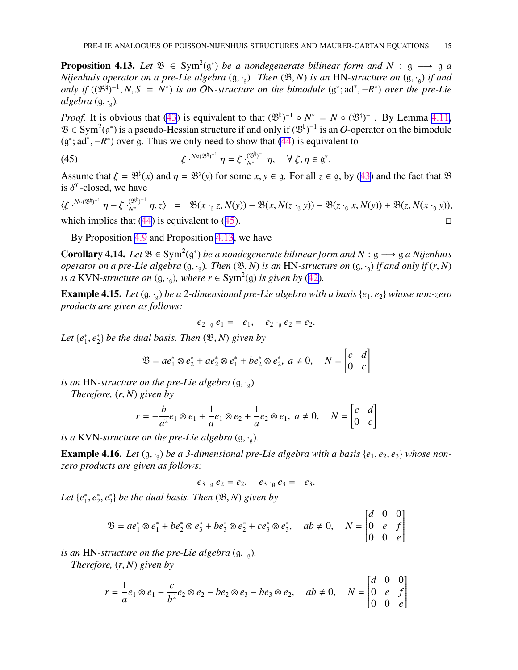<span id="page-14-0"></span>**Proposition 4.13.** Let  $\mathfrak{B} \in \text{Sym}^2(\mathfrak{g}^*)$  be a nondegenerate bilinear form and  $N : \mathfrak{g} \longrightarrow \mathfrak{g}$  a *Nijenhuis operator on a pre-Lie algebra*  $(g, \cdot_g)$ *. Then*  $(\mathfrak{B}, N)$  *is an* HN-structure on  $(g, \cdot_g)$  *if and* only if  $((\mathfrak{B}^{\natural})^{-1}, N, S = N^*)$  is an ON-structure on the bimodule  $(g^*; ad^*, -R^*)$  over the pre-Lie *algebra*  $(g, \cdot_a)$ *.* 

*Proof.* It is obvious that [\(43](#page-13-0)) is equivalent to that  $(\mathcal{B}^{\natural})^{-1} \circ N^* = N \circ (\mathcal{B}^{\natural})^{-1}$ . By Lemma [4.11](#page-13-0),  $\mathfrak{B} \in \text{Sym}^2(\mathfrak{g}^*)$  is a pseudo-Hessian structure if and only if  $(\mathfrak{B}^{\natural})^{-1}$  is an O-operator on the bimodule  $(g^*; ad^*, -R^*)$  over g. Thus we only need to show that [\(44](#page-13-0)) is equivalent to

(45) 
$$
\xi \cdot {}^{N \circ (\mathfrak{B}^{\natural})^{-1}} \eta = \xi \cdot {}^{(\mathfrak{B}^{\natural})^{-1}}_{N^*} \eta, \quad \forall \xi, \eta \in \mathfrak{g}^*.
$$

Assume that  $\xi = \mathfrak{B}^{\natural}(x)$  and  $\eta = \mathfrak{B}^{\natural}(y)$  for some  $x, y \in \mathfrak{g}$ . For all  $z \in \mathfrak{g}$ , by ([43\)](#page-13-0) and the fact that  $\mathfrak{B}$ is  $\delta^T$ -closed, we have

 $\langle \xi \cdot^{N \circ (\mathfrak{B}^{\natural})^{-1}} \eta - \xi \cdot_{N^*}^{\langle \mathfrak{B}^{\natural} \rangle^{-1}} \eta, z \rangle = \mathfrak{B}(x \cdot_{\mathfrak{g}} z, N(y)) - \mathfrak{B}(x, N(z \cdot_{\mathfrak{g}} y)) - \mathfrak{B}(z \cdot_{\mathfrak{g}} x, N(y)) + \mathfrak{B}(z, N(x \cdot_{\mathfrak{g}} y)),$ which implies that [\(44](#page-13-0)) is equivalent to (45).  $\Box$ 

By Proposition [4.9](#page-13-0) and Proposition 4.13, we have

**Corollary 4.14.** Let  $\mathfrak{B} \in \text{Sym}^2(\mathfrak{g}^*)$  be a nondegenerate bilinear form and N :  $\mathfrak{g} \longrightarrow \mathfrak{g}$  a Nijenhuis *operator on a pre-Lie algebra*  $(g, \cdot_q)$ *. Then*  $(\mathfrak{B}, N)$  *is an* HN-structure *on*  $(g, \cdot_q)$  *if and only if*  $(r, N)$ *is a* KVN-structure on  $(g, \cdot_g)$ , where  $r \in Sym^2(g)$  *is given by* ([42\)](#page-13-0).

Example 4.15. *Let* (g, ·g) *be a 2-dimensional pre-Lie algebra with a basis* {*e*1, *e*2} *whose non-zero products are given as follows:*

$$
e_2 \cdot_{\mathfrak{g}} e_1 = -e_1, \quad e_2 \cdot_{\mathfrak{g}} e_2 = e_2.
$$

*Let* {*e* ∗  $_1^*, e_2^*$ 2 } *be the dual basis. Then* (B, *N*) *given by*

$$
\mathfrak{B} = ae_1^* \otimes e_2^* + ae_2^* \otimes e_1^* + be_2^* \otimes e_2^*, \ a \neq 0, \quad N = \begin{bmatrix} c & d \\ 0 & c \end{bmatrix}
$$

*is an* HN-structure on the pre-Lie algebra  $(g, \cdot_a)$ .

*Therefore,* (*r*, *N*) *given by*

$$
r = -\frac{b}{a^2}e_1 \otimes e_1 + \frac{1}{a}e_1 \otimes e_2 + \frac{1}{a}e_2 \otimes e_1, \ a \neq 0, \quad N = \begin{bmatrix} c & d \\ 0 & c \end{bmatrix}
$$

*is a* KVN-structure on the pre-Lie algebra  $(g, \cdot_a)$ .

**Example 4.16.** Let  $(g, \cdot_g)$  be a 3-dimensional pre-Lie algebra with a basis  $\{e_1, e_2, e_3\}$  whose non*zero products are given as follows:*

$$
e_3 \cdot_{\mathfrak{g}} e_2 = e_2, \quad e_3 \cdot_{\mathfrak{g}} e_3 = -e_3.
$$

*Let* {*e* ∗  $_1^*, e_2^*$  $\frac{1}{2}$ ,  $e_3^*$ 3 } *be the dual basis. Then* (B, *N*) *given by*

$$
\mathfrak{B} = ae_1^* \otimes e_1^* + be_2^* \otimes e_3^* + be_3^* \otimes e_2^* + ce_3^* \otimes e_3^*, \quad ab \neq 0, \quad N = \begin{bmatrix} d & 0 & 0 \\ 0 & e & f \\ 0 & 0 & e \end{bmatrix}
$$

*is an* HN-structure on the pre-Lie algebra  $(g, \cdot_g)$ .

*Therefore,* (*r*, *N*) *given by*

$$
r = \frac{1}{a}e_1 \otimes e_1 - \frac{c}{b^2}e_2 \otimes e_2 - be_2 \otimes e_3 - be_3 \otimes e_2, \quad ab \neq 0, \quad N = \begin{bmatrix} d & 0 & 0 \\ 0 & e & f \\ 0 & 0 & e \end{bmatrix}
$$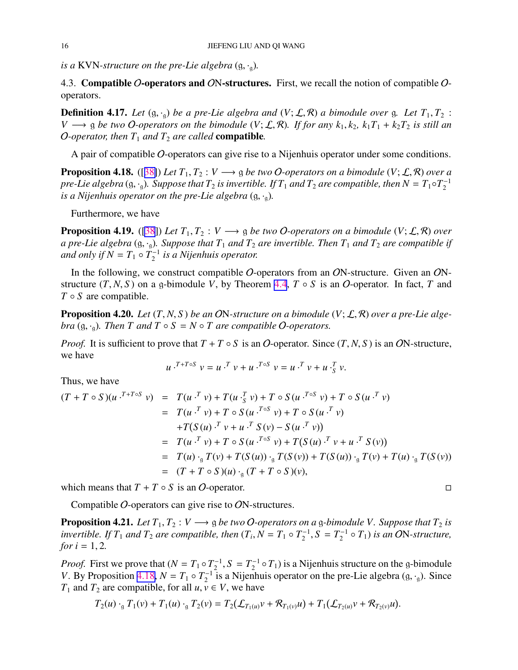<span id="page-15-0"></span>*is a* KVN-structure on the pre-Lie algebra  $(g, \cdot_a)$ .

4.3. Compatible O-operators and ON-structures. First, we recall the notion of compatible Ooperators.

**Definition 4.17.** Let  $(g, \cdot_q)$  be a pre-Lie algebra and  $(V; \mathcal{L}, \mathcal{R})$  a bimodule over g. Let  $T_1, T_2$ : *V* → g *be two O*-operators on the bimodule (*V*;  $\mathcal{L}, \mathcal{R}$ ). If for any  $k_1, k_2, k_1T_1 + k_2T_2$  is still an *O*-operator, then  $T_1$  and  $T_2$  are called **compatible**.

A pair of compatible O-operators can give rise to a Nijenhuis operator under some conditions.

**Proposition 4.18.** ([[38\]](#page-26-0)) *Let*  $T_1, T_2 : V \longrightarrow g$  *be two O-operators on a bimodule*  $(V; \mathcal{L}, \mathcal{R})$  *over a pre-Lie algebra* (g,  $\cdot$ <sub>9</sub>). Suppose that  $T_2$  is invertible. If  $T_1$  and  $T_2$  are compatible, then  $N=T_1\circ T_2^{-1}$ 2 *is a Nijenhuis operator on the pre-Lie algebra*  $(g, \cdot_a)$ *.* 

Furthermore, we have

**Proposition 4.19.** ([\[38](#page-26-0)]) *Let*  $T_1, T_2 : V \longrightarrow g$  *be two O-operators on a bimodule*  $(V; \mathcal{L}, \mathcal{R})$  *over a pre-Lie algebra* (g,  $\cdot$ <sub>g</sub>). Suppose that  $T_1$  *and*  $T_2$  *are invertible. Then*  $T_1$  *and*  $T_2$  *are compatible if and only if*  $\widetilde{N} = T_1 \circ T_2^{-1}$ 2 *is a Nijenhuis operator.*

In the following, we construct compatible O-operators from an ON-structure. Given an ONstructure  $(T, N, S)$  on a g-bimodule *V*, by Theorem [4.4](#page-12-0),  $T \circ S$  is an O-operator. In fact, *T* and *T* ◦ *S* are compatible.

**Proposition 4.20.** *Let*  $(T, N, S)$  *be an ON-structure on a bimodule*  $(V; \mathcal{L}, \mathcal{R})$  *over a pre-Lie algebra*  $(g, \cdot_g)$ *. Then T and T*  $\circ$  *S* = *N*  $\circ$  *T are compatible O-operators.* 

*Proof.* It is sufficient to prove that  $T + T \circ S$  is an O-operator. Since  $(T, N, S)$  is an ON-structure, we have

$$
u \cdot^{T+T \circ S} v = u \cdot^T v + u \cdot^{T \circ S} v = u \cdot^T v + u \cdot^T_S v.
$$

Thus, we have

$$
(T + T \circ S)(u \cdot^{T+T \circ S} v) = T(u \cdot^T v) + T(u \cdot^T_S v) + T \circ S(u \cdot^{T \circ S} v) + T \circ S(u \cdot^T v)
$$
  
\n
$$
= T(u \cdot^T v) + T \circ S(u \cdot^{T \circ S} v) + T \circ S(u \cdot^T v)
$$
  
\n
$$
+ T(S(u) \cdot^T v + u \cdot^T S(v) - S(u \cdot^T v))
$$
  
\n
$$
= T(u \cdot^T v) + T \circ S(u \cdot^{T \circ S} v) + T(S(u) \cdot^T v + u \cdot^T S(v))
$$
  
\n
$$
= T(u) \cdot {}_g T(v) + T(S(u)) \cdot {}_g T(S(v)) + T(S(u)) \cdot {}_g T(v) + T(u) \cdot {}_g T(S(v))
$$
  
\n
$$
= (T + T \circ S)(u) \cdot {}_g (T + T \circ S)(v),
$$

which means that  $T + T \circ S$  is an O-operator.

Compatible O-operators can give rise to ON-structures.

**Proposition 4.21.** *Let*  $T_1, T_2 : V \longrightarrow g$  *be two O-operators on a* g-*bimodule V. Suppose that*  $T_2$  *is invertible. If*  $T_1$  *and*  $T_2$  *are compatible, then*  $(T_i, N = T_1 \circ T_2^{-1})$  $T_2^{-1}$ ,  $S = T_2^{-1}$  $\mathcal{L}_2^{-1} \circ T_1$ ) *is an ON-structure*, *for*  $i = 1, 2$ *.* 

*Proof.* First we prove that  $(N = T_1 \circ T_2^{-1})$  $T_2^{-1}$ ,  $S = T_2^{-1}$  $\chi_2^{-1} \circ T_1$ ) is a Nijenhuis structure on the g-bimodule *V*. By Proposition 4.18,  $N = T_1 \circ T_2^{-1}$  is a Nijenhuis operator on the pre-Lie algebra (g, ·<sub>g</sub>). Since *T*<sub>1</sub> and *T*<sub>2</sub> are compatible, for all *u*,  $v \in V$ , we have

$$
T_2(u) \cdot_{\mathfrak{g}} T_1(v) + T_1(u) \cdot_{\mathfrak{g}} T_2(v) = T_2(\mathcal{L}_{T_1(u)}v + \mathcal{R}_{T_1(v)}u) + T_1(\mathcal{L}_{T_2(u)}v + \mathcal{R}_{T_2(v)}u).
$$

$$
\Box
$$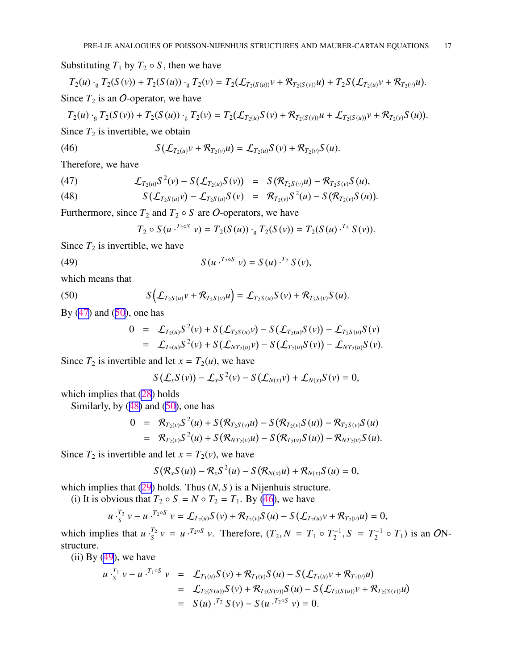Substituting  $T_1$  by  $T_2 \circ S$ , then we have

$$
T_2(u) \cdot_{g} T_2(S(v)) + T_2(S(u)) \cdot_{g} T_2(v) = T_2(\mathcal{L}_{T_2(S(u))} v + \mathcal{R}_{T_2(S(v))} u) + T_2 S(\mathcal{L}_{T_2(u)} v + \mathcal{R}_{T_2(v)} u).
$$
  
Since  $T_2$  is an *O*-operator, we have

$$
T_2(u) \cdot_{\mathfrak{g}} T_2(S(v)) + T_2(S(u)) \cdot_{\mathfrak{g}} T_2(v) = T_2(\mathcal{L}_{T_2(u)} S(v) + \mathcal{R}_{T_2(S(v))} u + \mathcal{L}_{T_2(S(u))} v + \mathcal{R}_{T_2(v)} S(u)).
$$

Since  $T_2$  is invertible, we obtain

(46) 
$$
S(\mathcal{L}_{T_2(u)}v + \mathcal{R}_{T_2(v)}u) = \mathcal{L}_{T_2(u)}S(v) + \mathcal{R}_{T_2(v)}S(u).
$$

Therefore, we have

(47) 
$$
\mathcal{L}_{T_2(u)}S^2(v) - S(\mathcal{L}_{T_2(u)}S(v)) = S(\mathcal{R}_{T_2S(v)}u) - \mathcal{R}_{T_2S(v)}S(u),
$$

(48) 
$$
S(\mathcal{L}_{T_2S(u)}v) - \mathcal{L}_{T_2S(u)}S(v) = \mathcal{R}_{T_2(v)}S^2(u) - S(\mathcal{R}_{T_2(v)}S(u)).
$$

Furthermore, since  $T_2$  and  $T_2 \circ S$  are O-operators, we have

$$
T_2 \circ S(u \cdot^{T_2 \circ S} v) = T_2(S(u)) \cdot_g T_2(S(v)) = T_2(S(u) \cdot^{T_2} S(v)).
$$

Since  $T_2$  is invertible, we have

(49) 
$$
S(u \cdot {}^{T_2 \circ S} v) = S(u) \cdot {}^{T_2} S(v),
$$

which means that

(50) 
$$
S\Big(\mathcal{L}_{T_2S(u)}v + \mathcal{R}_{T_2S(v)}u\Big) = \mathcal{L}_{T_2S(u)}S(v) + \mathcal{R}_{T_2S(v)}S(u).
$$

By  $(47)$  and  $(50)$ , one has

$$
0 = \mathcal{L}_{T_2(u)} S^2(v) + S(\mathcal{L}_{T_2S(u)} v) - S(\mathcal{L}_{T_2(u)} S(v)) - \mathcal{L}_{T_2S(u)} S(v)
$$
  
= 
$$
\mathcal{L}_{T_2(u)} S^2(v) + S(\mathcal{L}_{NT_2(u)} v) - S(\mathcal{L}_{T_2(u)} S(v)) - \mathcal{L}_{NT_2(u)} S(v).
$$

Since  $T_2$  is invertible and let  $x = T_2(u)$ , we have

$$
S\left(\mathcal{L}_x S(v)\right)-\mathcal{L}_x S^2(v)-S\left(\mathcal{L}_{N(x)}v\right)+\mathcal{L}_{N(x)} S(v)=0,
$$

which implies that  $(28)$  $(28)$  holds

Similarly, by  $(48)$  and  $(50)$ , one has

$$
0 = \mathcal{R}_{T_2(v)} S^2(u) + S(\mathcal{R}_{T_2S(v)} u) - S(\mathcal{R}_{T_2(v)} S(u)) - \mathcal{R}_{T_2S(v)} S(u)
$$
  
= 
$$
\mathcal{R}_{T_2(v)} S^2(u) + S(\mathcal{R}_{NT_2(v)} u) - S(\mathcal{R}_{T_2(v)} S(u)) - \mathcal{R}_{NT_2(v)} S(u).
$$

Since  $T_2$  is invertible and let  $x = T_2(v)$ , we have

$$
S\big(\mathcal{R}_xS(u)\big)-\mathcal{R}_xS^2(u)-S\big(\mathcal{R}_{N(x)}u\big)+\mathcal{R}_{N(x)}S(u)=0,
$$

which implies that [\(29](#page-10-0)) holds. Thus (*N*, *S*) is a Nijenhuis structure.

(i) It is obvious that  $T_2 \circ S = N \circ T_2 = T_1$ . By (46), we have

$$
u \cdot_S^{T_2} v - u \cdot^{T_2 \circ S} v = \mathcal{L}_{T_2(u)} S(v) + \mathcal{R}_{T_2(v)} S(u) - S(\mathcal{L}_{T_2(u)} v + \mathcal{R}_{T_2(v)} u) = 0,
$$

which implies that  $u \cdot \frac{T_2}{S}$  $S<sup>T_2</sup>$  *v* = *u* ·<sup>*T*2</sup>°<sup>*S*</sup> *v*. Therefore,  $(T_2, N = T_1 \circ T_2^{-1})$  $T_2^{-1}$ ,  $S = T_2^{-1}$  $\chi_2^{-1} \circ T_1$ ) is an *O*Nstructure.

 $(ii)$  By  $(49)$ , we have

$$
u \cdot_S^{T_1} v - u \cdot^{T_1 \circ S} v = \mathcal{L}_{T_1(u)} S(v) + \mathcal{R}_{T_1(v)} S(u) - S(\mathcal{L}_{T_1(u)} v + \mathcal{R}_{T_1(v)} u)
$$
  
= 
$$
\mathcal{L}_{T_2(S(u))} S(v) + \mathcal{R}_{T_2(S(v))} S(u) - S(\mathcal{L}_{T_2(S(u))} v + \mathcal{R}_{T_2(S(v))} u)
$$
  
= 
$$
S(u) \cdot^{T_2} S(v) - S(u \cdot^{T_2 \circ S} v) = 0.
$$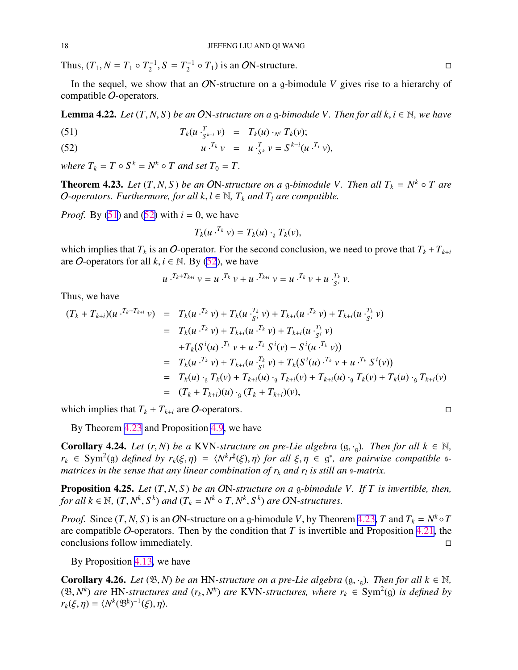Thus,  $(T_1, N = T_1 \circ T_2^{-1}, S = T_2^{-1} \circ T_1)$  is an *O*N-structure. □

In the sequel, we show that an ON-structure on a g-bimodule *V* gives rise to a hierarchy of compatible O-operators.

**Lemma 4.22.** *Let*  $(T, N, S)$  *be an* ON-structure on a g-bimodule V. Then for all k,  $i \in \mathbb{N}$ , we have

(51) 
$$
T_k(u \cdot_{S^{k+i}}^T v) = T_k(u) \cdot_{N^i} T_k(v);
$$

(52) 
$$
u^{\, T_k} v = u^{\, T_k} v = S^{k-i} (u^{\, T_i} v),
$$

*where*  $T_k = T \circ S^k = N^k \circ T$  *and set*  $T_0 = T$ .

**Theorem 4.23.** Let  $(T, N, S)$  be an ON-structure on a g-bimodule V. Then all  $T_k = N^k \circ T$  are *O*-operators. Furthermore, for all  $k, l \in \mathbb{N}$ ,  $T_k$  and  $T_l$  are compatible.

*Proof.* By  $(51)$  and  $(52)$  with  $i = 0$ , we have

$$
T_k(u \cdot^{T_k} v) = T_k(u) \cdot_g T_k(v),
$$

which implies that  $T_k$  is an O-operator. For the second conclusion, we need to prove that  $T_k + T_{k+i}$ are *O*-operators for all  $k, i \in \mathbb{N}$ . By (52), we have

$$
u \cdot^{T_k+T_{k+i}} v = u \cdot^{T_k} v + u \cdot^{T_{k+i}} v = u \cdot^{T_k} v + u \cdot^{T_k}_{S^i} v.
$$

Thus, we have

$$
(T_k + T_{k+i})(u \cdot^{T_k + T_{k+i}} v) = T_k(u \cdot^{T_k} v) + T_k(u \cdot^{T_k} v) + T_{k+i}(u \cdot^{T_k} v) + T_{k+i}(u \cdot^{T_k} v)
$$
  
\n
$$
= T_k(u \cdot^{T_k} v) + T_{k+i}(u \cdot^{T_k} v) + T_{k+i}(u \cdot^{T_k} v)
$$
  
\n
$$
+ T_k(S^i(u) \cdot^{T_k} v + u \cdot^{T_k} S^i(v) - S^i(u \cdot^{T_k} v))
$$
  
\n
$$
= T_k(u \cdot^{T_k} v) + T_{k+i}(u \cdot^{T_k} v) + T_k(S^i(u) \cdot^{T_k} v + u \cdot^{T_k} S^i(v))
$$
  
\n
$$
= T_k(u) \cdot_{S} T_k(v) + T_{k+i}(u) \cdot_{S} T_{k+i}(v) + T_{k+i}(u) \cdot_{S} T_k(v) + T_k(u) \cdot_{S} T_{k+i}(v)
$$
  
\n
$$
= (T_k + T_{k+i})(u) \cdot_{S} (T_k + T_{k+i})(v),
$$

which implies that  $T_k + T_{k+i}$  are O-operators.

By Theorem 4.23 and Proposition [4.9](#page-13-0), we have

**Corollary 4.24.** *Let*  $(r, N)$  *be a* KVN-structure on pre-Lie algebra  $(g, \cdot_g)$ *. Then for all*  $k \in \mathbb{N}$ *,*  $r_k \in Sym^2(\mathfrak{g})$  *defined by*  $r_k(\xi, \eta) = \langle N^k r^{\sharp}(\xi), \eta \rangle$  *for all*  $\xi, \eta \in \mathfrak{g}^*$ , *are pairwise compatible* s*matrices in the sense that any linear combination of r<sup>k</sup> and r<sup>l</sup> is still an* s*-matrix.*

Proposition 4.25. *Let* (*T*, *N*, *S* ) *be an* ON*-structure on a* g*-bimodule V. If T is invertible, then, for all*  $k \in \mathbb{N}$ ,  $(T, N^k, S^k)$  *and*  $(T_k = N^k \circ T, N^k, S^k)$  *are ON-structures.* 

*Proof.* Since  $(T, N, S)$  is an ON-structure on a g-bimodule *V*, by Theorem 4.23, *T* and  $T_k = N^k \circ T$ are compatible O-operators. Then by the condition that *T* is invertible and Proposition [4.21](#page-15-0), the conclusions follow immediately.

By Proposition [4.13](#page-14-0), we have

**Corollary 4.26.** *Let*  $(\mathfrak{B}, N)$  *be an* HN-structure on a pre-Lie algebra  $(g, \cdot_g)$ . Then for all  $k \in \mathbb{N}$ ,  $(\mathfrak{B}, N^k)$  are HN-structures and  $(r_k, N^k)$  are KVN-structures, where  $r_k \in Sym^2(\mathfrak{g})$  is defined by  $r_k(\xi, \eta) = \langle N^k(\mathfrak{B}^{\natural})^{-1}(\xi), \eta \rangle.$ 

<span id="page-17-0"></span>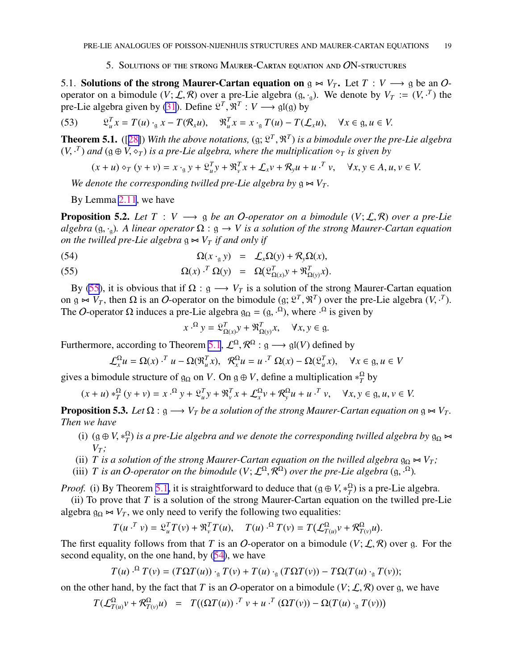### 5. Solutions of the strong Maurer-Cartan equation and ON-structures

<span id="page-18-0"></span>5.1. Solutions of the strong Maurer-Cartan equation on  $g \Join V_T$ . Let  $T : V \longrightarrow g$  be an Ooperator on a bimodule  $(V; \mathcal{L}, \mathcal{R})$  over a pre-Lie algebra  $(g, \cdot_g)$ . We denote by  $V_T := (V, \cdot^T)$  the pre-Lie algebra given by [\(31](#page-11-0)). Define  $\mathcal{L}^T$ ,  $\mathcal{R}^T$  :  $V \longrightarrow$  gl(g) by

(53) 
$$
\mathfrak{L}_{u}^{T} x = T(u) \cdot_{g} x - T(\mathcal{R}_{x} u), \quad \mathfrak{R}_{u}^{T} x = x \cdot_{g} T(u) - T(\mathcal{L}_{x} u), \quad \forall x \in g, u \in V.
$$

**Theorem 5.1.** ([[28\]](#page-25-0)) With the above notations, (g;  $\mathfrak{L}^T$ ,  $\mathfrak{R}^T$ ) is a bimodule over the pre-Lie algebra  $(V, \cdot^T)$  and  $(g \oplus V, \diamond_T)$  *is a pre-Lie algebra, where the multiplication*  $\diamond_T$  *is given by* 

$$
(x+u)\diamond_T (y+v) = x \cdot_{g} y + \mathfrak{L}_{u}^T y + \mathfrak{R}_{v}^T x + \mathcal{L}_{x} v + \mathcal{R}_{y} u + u \cdot^{T} v, \quad \forall x, y \in A, u, v \in V.
$$

*We denote the corresponding twilled pre-Lie algebra by*  $\mathfrak{g} \Join V_T$ .

By Lemma [2.11](#page-6-0), we have

**Proposition 5.2.** *Let*  $T : V \longrightarrow g$  *be an O-operator on a bimodule*  $(V; \mathcal{L}, \mathcal{R})$  *over a pre-Lie algebra* (g, ·g)*. A linear operator* Ω : g → *V is a solution of the strong Maurer-Cartan equation on the twilled pre-Lie algebra*  $g$   $\Join$  *V*<sub>*T*</sub> *if and only if* 

(54) 
$$
\Omega(x \cdot_{g} y) = \mathcal{L}_{x} \Omega(y) + \mathcal{R}_{y} \Omega(x),
$$

(55) 
$$
\Omega(x) \cdot^T \Omega(y) = \Omega(\mathfrak{L}_{\Omega(x)}^T y + \mathfrak{R}_{\Omega(y)}^T x).
$$

By (55), it is obvious that if  $\Omega$  : g  $\longrightarrow V_T$  is a solution of the strong Maurer-Cartan equation on  $g \bowtie V_T$ , then  $\Omega$  is an O-operator on the bimodule  $(g; \mathcal{L}^T, \mathcal{R}^T)$  over the pre-Lie algebra  $(V, \cdot^T)$ . The O-operator  $\Omega$  induces a pre-Lie algebra  $g_{\Omega} = (g, \cdot^{\Omega})$ , where  $\cdot^{\Omega}$  is given by

$$
x \cdot^{\Omega} y = \mathfrak{L}_{\Omega(x)}^T y + \mathfrak{R}_{\Omega(y)}^T x, \quad \forall x, y \in \mathfrak{g}.
$$

Furthermore, according to Theorem 5.1,  $\mathcal{L}^{\Omega}, \mathcal{R}^{\Omega} : \mathfrak{g} \longrightarrow \mathfrak{gl}(V)$  defined by

$$
\mathcal{L}_x^{\Omega} u = \Omega(x) \cdot^T u - \Omega(\mathfrak{R}_u^T x), \quad \mathcal{R}_x^{\Omega} u = u \cdot^T \Omega(x) - \Omega(\mathfrak{L}_u^T x), \quad \forall x \in \mathfrak{g}, u \in V
$$

gives a bimodule structure of  $\mathfrak{g}_{\Omega}$  on *V*. On  $\mathfrak{g} \oplus V$ , define a multiplication  $*_{\tau}^{\Omega}$  $T$ <sup>2</sup> by

$$
(x+u) *^{\Omega}_T (y+v) = x \cdot^{\Omega} y + \mathfrak{L}^T_u y + \mathfrak{R}^T_v x + \mathcal{L}^{\Omega}_x v + \mathcal{R}^{\Omega}_y u + u \cdot^T v, \quad \forall x, y \in \mathfrak{g}, u, v \in V.
$$

**Proposition 5.3.** *Let*  $\Omega$  :  $\mathfrak{g} \longrightarrow V_T$  *be a solution of the strong Maurer-Cartan equation on*  $\mathfrak{g} \Join V_T$ . *Then we have*

- (i)  $(g \oplus V, *_{T}^{\Omega})$  $T(T_T^{\Omega})$  *is a pre-Lie algebra and we denote the corresponding twilled algebra by*  $\mathfrak{g}_{\Omega}$   $\Join$ *V<sup>T</sup> ;*
- (ii) *T* is a solution of the strong Maurer-Cartan equation on the twilled algebra  $g_{\Omega} \Join V_T$ ;
- (iii) *T* is an *O*-operator on the bimodule  $(V; \mathcal{L}^{\Omega}, \mathcal{R}^{\Omega})$  over the pre-Lie algebra  $(g, \cdot^{\Omega})$ .

*Proof.* (i) By Theorem 5.1, it is straightforward to deduce that  $(g \oplus V, *_{T}^{\Omega}$  $T(T)$  is a pre-Lie algebra.

(ii) To prove that *T* is a solution of the strong Maurer-Cartan equation on the twilled pre-Lie algebra  $g_{\Omega} \Join V_T$ , we only need to verify the following two equalities:

$$
T(u \cdot^T v) = \mathfrak{L}_u^T T(v) + \mathfrak{R}_v^T T(u), \quad T(u) \cdot^{\Omega} T(v) = T(\mathcal{L}_{T(u)}^{\Omega} v + \mathcal{R}_{T(v)}^{\Omega} u).
$$

The first equality follows from that *T* is an *O*-operator on a bimodule  $(V; \mathcal{L}, \mathcal{R})$  over g. For the second equality, on the one hand, by (54), we have

$$
T(u) \cdot^{\Omega} T(v) = (T\Omega T(u)) \cdot_{\mathfrak{g}} T(v) + T(u) \cdot_{\mathfrak{g}} (T\Omega T(v)) - T\Omega(T(u) \cdot_{\mathfrak{g}} T(v));
$$

on the other hand, by the fact that *T* is an *O*-operator on a bimodule  $(V; \mathcal{L}, \mathcal{R})$  over g, we have

$$
T(\mathcal{L}^{\Omega}_{T(u)}v + \mathcal{R}^{\Omega}_{T(v)}u) = T((\Omega T(u)) \cdot^T v + u \cdot^T (\Omega T(v)) - \Omega(T(u) \cdot _g T(v)))
$$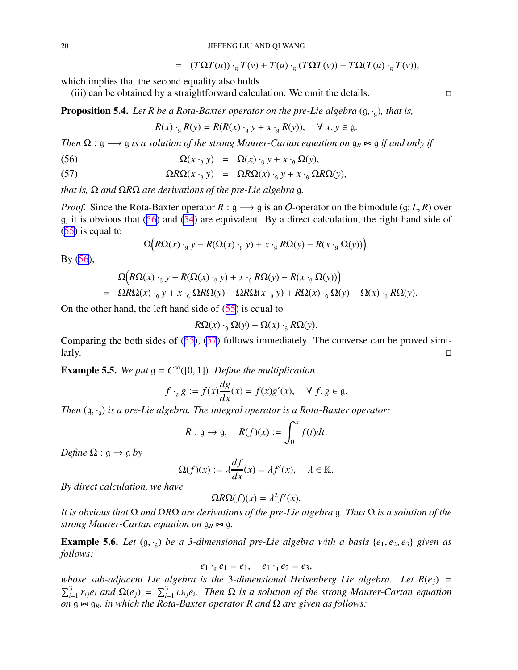$= (T\Omega T(u)) \cdot_q T(v) + T(u) \cdot_q (T\Omega T(v)) - T\Omega(T(u) \cdot_q T(v)),$ 

<span id="page-19-0"></span>which implies that the second equality also holds.

 $(iii)$  can be obtained by a straightforward calculation. We omit the details.

Proposition 5.4. Let R be a Rota-Baxter operator on the pre-Lie algebra  $(g, \cdot_q)$ , that is,

$$
R(x) \cdot_{\mathfrak{g}} R(y) = R(R(x) \cdot_{\mathfrak{g}} y + x \cdot_{\mathfrak{g}} R(y)), \quad \forall x, y \in \mathfrak{g}.
$$

*Then*  $\Omega$  : g  $\longrightarrow$  g *is a solution of the strong Maurer-Cartan equation on*  $g_R \Join g$  *if and only if* 

(56) 
$$
\Omega(x \cdot_{g} y) = \Omega(x) \cdot_{g} y + x \cdot_{g} \Omega(y),
$$

(57) 
$$
\Omega R \Omega(x \cdot_{g} y) = \Omega R \Omega(x) \cdot_{g} y + x \cdot_{g} \Omega R \Omega(y),
$$

*that is,* Ω *and* Ω*R*Ω *are derivations of the pre-Lie algebra* g*.*

*Proof.* Since the Rota-Baxter operator  $R: \mathfrak{g} \longrightarrow \mathfrak{g}$  is an O-operator on the bimodule (g; *L*, *R*) over g, it is obvious that (56) and [\(54](#page-18-0)) are equivalent. By a direct calculation, the right hand side of ([55\)](#page-18-0) is equal to

$$
\Omega\big(R\Omega(x) \cdot_g y - R(\Omega(x) \cdot_g y) + x \cdot_g R\Omega(y) - R(x \cdot_g \Omega(y))\big).
$$

By (56),

$$
\Omega(R\Omega(x) \cdot_g y - R(\Omega(x) \cdot_g y) + x \cdot_g R\Omega(y) - R(x \cdot_g \Omega(y)))
$$
\n
$$
= \Omega R\Omega(x) \cdot_g y + x \cdot_g \Omega R\Omega(y) - \Omega R\Omega(x \cdot_g y) + R\Omega(x) \cdot_g \Omega(y) + \Omega(x) \cdot_g R\Omega(y).
$$

On the other hand, the left hand side of ([55\)](#page-18-0) is equal to

$$
R\Omega(x) \cdot_{\mathfrak{g}} \Omega(y) + \Omega(x) \cdot_{\mathfrak{g}} R\Omega(y).
$$

Comparing the both sides of ([55\)](#page-18-0), (57) follows immediately. The converse can be proved simi- $\Box$ 

**Example 5.5.** We put  $g = C^{\infty}([0, 1])$ . Define the multiplication

$$
f \cdot_g g := f(x) \frac{dg}{dx}(x) = f(x)g'(x), \quad \forall \ f, g \in g.
$$

*Then* (g, ·g) *is a pre-Lie algebra. The integral operator is a Rota-Baxter operator:*

$$
R: \mathfrak{g} \to \mathfrak{g}, \quad R(f)(x) := \int_0^x f(t)dt.
$$

*Define*  $\Omega$  :  $g \rightarrow g$  *by* 

$$
\Omega(f)(x) := \lambda \frac{df}{dx}(x) = \lambda f'(x), \quad \lambda \in \mathbb{K}.
$$

*By direct calculation, we have*

$$
\Omega R \Omega(f)(x) = \lambda^2 f'(x).
$$

*It is obvious that* Ω *and* Ω*R*Ω *are derivations of the pre-Lie algebra* g*. Thus* Ω *is a solution of the strong Maurer-Cartan equation on*  $g_R \Join g$ .

**Example 5.6.** Let  $(g, \cdot_g)$  be a 3-dimensional pre-Lie algebra with a basis  $\{e_1, e_2, e_3\}$  given as *follows:*

$$
e_1 \cdot_{\mathfrak{g}} e_1 = e_1, \quad e_1 \cdot_{\mathfrak{g}} e_2 = e_3,
$$

*whose sub-adjacent Lie algebra is the* 3*-dimensional Heisenberg Lie algebra. Let R*(*ej*) =  $\sum_{i=1}^{3} r_{ij}e_i$  and  $\Omega(e_j) = \sum_{i=1}^{3} \omega_{ij}e_i$ . Then  $\Omega$  is a solution of the strong Maurer-Cartan equation *on*  $g \Join g_R$ *, in which the Rota-Baxter operator R and*  $\Omega$  *are given as follows:*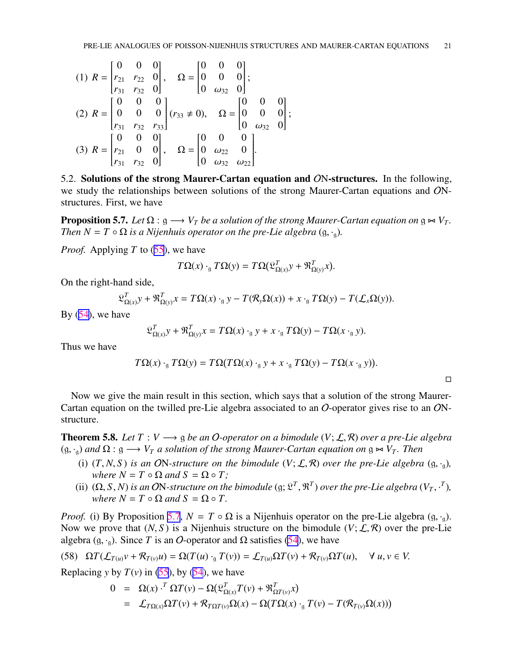<span id="page-20-0"></span>
$$
(1) \ R = \begin{bmatrix} 0 & 0 & 0 \\ r_{21} & r_{22} & 0 \\ r_{31} & r_{32} & 0 \end{bmatrix}, \quad \Omega = \begin{bmatrix} 0 & 0 & 0 \\ 0 & 0 & 0 \\ 0 & \omega_{32} & 0 \end{bmatrix};
$$
  
\n
$$
(2) \ R = \begin{bmatrix} 0 & 0 & 0 \\ 0 & 0 & 0 \\ r_{31} & r_{32} & r_{33} \end{bmatrix} (r_{33} \neq 0), \quad \Omega = \begin{bmatrix} 0 & 0 & 0 \\ 0 & 0 & 0 \\ 0 & \omega_{32} & 0 \end{bmatrix};
$$
  
\n
$$
(3) \ R = \begin{bmatrix} 0 & 0 & 0 \\ r_{21} & 0 & 0 \\ r_{31} & r_{32} & 0 \end{bmatrix}, \quad \Omega = \begin{bmatrix} 0 & 0 & 0 \\ 0 & \omega_{22} & 0 \\ 0 & \omega_{32} & \omega_{22} \end{bmatrix}.
$$

5.2. Solutions of the strong Maurer-Cartan equation and ON-structures. In the following, we study the relationships between solutions of the strong Maurer-Cartan equations and ONstructures. First, we have

**Proposition 5.7.** *Let*  $\Omega$  :  $g \rightarrow V_T$  *be a solution of the strong Maurer-Cartan equation on*  $g \Join V_T$ . *Then*  $N = T \circ \Omega$  *is a Nijenhuis operator on the pre-Lie algebra*  $(g, \cdot_{\mathfrak{g}})$ *.* 

*Proof.* Applying *T* to ([55\)](#page-18-0), we have

$$
T\Omega(x) \cdot_{\mathfrak{g}} T\Omega(y) = T\Omega(\mathfrak{L}_{\Omega(x)}^T y + \mathfrak{R}_{\Omega(y)}^T x).
$$

On the right-hand side,

$$
\mathfrak{L}_{\Omega(x)}^T y + \mathfrak{R}_{\Omega(y)}^T x = T\Omega(x) \cdot_g y - T(\mathcal{R}_y \Omega(x)) + x \cdot_g T\Omega(y) - T(\mathcal{L}_x \Omega(y)).
$$

By  $(54)$  $(54)$ , we have

$$
\mathfrak{L}_{\Omega(x)}^T y + \mathfrak{R}_{\Omega(y)}^T x = T\Omega(x) \cdot_g y + x \cdot_g T\Omega(y) - T\Omega(x \cdot_g y).
$$

Thus we have

$$
T\Omega(x) \cdot_{\mathfrak{g}} T\Omega(y) = T\Omega(T\Omega(x) \cdot_{\mathfrak{g}} y + x \cdot_{\mathfrak{g}} T\Omega(y) - T\Omega(x \cdot_{\mathfrak{g}} y)).
$$

Now we give the main result in this section, which says that a solution of the strong Maurer-Cartan equation on the twilled pre-Lie algebra associated to an O-operator gives rise to an ONstructure.

**Theorem 5.8.** *Let*  $T: V \longrightarrow g$  *be an O-operator on a bimodule*  $(V; \mathcal{L}, \mathcal{R})$  *over a pre-Lie algebra*  $(g, \cdot_g)$  *and*  $\Omega : g \longrightarrow V_T$  *a solution of the strong Maurer-Cartan equation on*  $g \Join V_T$ *. Then* 

- (i)  $(T, N, S)$  *is an* ON-structure on the bimodule  $(V; \mathcal{L}, \mathcal{R})$  *over the pre-Lie algebra*  $(g, \cdot_g)$ *, where*  $N = T \circ \Omega$  *and*  $S = \Omega \circ T$ ;
- (ii)  $(\Omega, S, N)$  is an ON-structure on the bimodule  $(g; \mathfrak{L}^T, \mathfrak{R}^T)$  over the pre-Lie algebra  $(V_T, \cdot^T)$ , *where*  $N = T \circ \Omega$  *and*  $S = \Omega \circ T$ .

*Proof.* (i) By Proposition 5.7,  $N = T \circ \Omega$  is a Nijenhuis operator on the pre-Lie algebra  $(g, \cdot_q)$ . Now we prove that  $(N, S)$  is a Nijenhuis structure on the bimodule  $(V; \mathcal{L}, \mathcal{R})$  over the pre-Lie algebra (g,  $\cdot_{q}$ ). Since *T* is an *O*-operator and  $\Omega$  satisfies [\(54](#page-18-0)), we have

$$
(58)\quad \Omega T(\mathcal{L}_{T(u)}v + \mathcal{R}_{T(v)}u) = \Omega(T(u) \cdot_{g} T(v)) = \mathcal{L}_{T(u)}\Omega T(v) + \mathcal{R}_{T(v)}\Omega T(u), \quad \forall u, v \in V.
$$

Replacing *y* by  $T(v)$  in [\(55](#page-18-0)), by [\(54](#page-18-0)), we have

$$
0 = \Omega(x) \cdot \Gamma \Omega T(v) - \Omega(\mathfrak{L}_{\Omega(x)}^T T(v) + \mathfrak{R}_{\Omega T(v)}^T x)
$$
  
=  $\mathcal{L}_{T\Omega(x)} \Omega T(v) + \mathcal{R}_{T\Omega T(v)} \Omega(x) - \Omega(T\Omega(x) \cdot_{g} T(v) - T(\mathcal{R}_{T(v)} \Omega(x)))$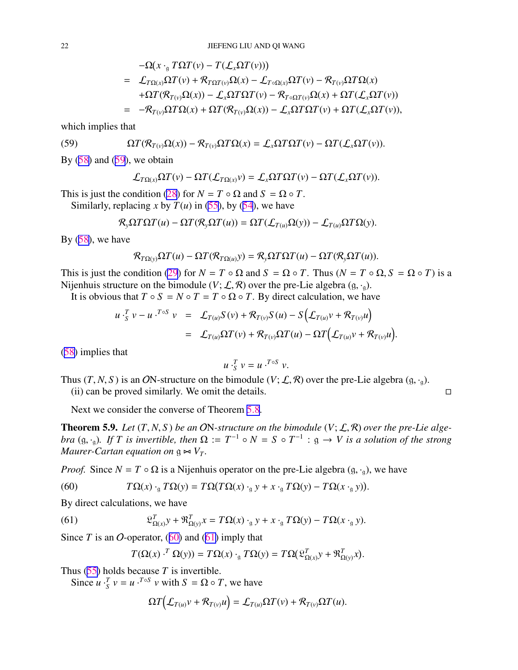$$
- \Omega(x \cdot_{\mathfrak{g}} T\Omega T(v) - T(\mathcal{L}_x \Omega T(v)))
$$
  
=  $\mathcal{L}_{T\Omega(x)}\Omega T(v) + \mathcal{R}_{T\Omega T(v)}\Omega(x) - \mathcal{L}_{T \circ \Omega(x)}\Omega T(v) - \mathcal{R}_{T(v)}\Omega T\Omega(x)$   
+  $\Omega T(\mathcal{R}_{T(v)}\Omega(x)) - \mathcal{L}_x\Omega T\Omega T(v) - \mathcal{R}_{T \circ \Omega T(v)}\Omega(x) + \Omega T(\mathcal{L}_x \Omega T(v))$   
=  $-\mathcal{R}_{T(v)}\Omega T\Omega(x) + \Omega T(\mathcal{R}_{T(v)}\Omega(x)) - \mathcal{L}_x\Omega T\Omega T(v) + \Omega T(\mathcal{L}_x \Omega T(v)),$ 

<span id="page-21-0"></span>which implies that

(59) 
$$
\Omega T(\mathcal{R}_{T(v)}\Omega(x)) - \mathcal{R}_{T(v)}\Omega T\Omega(x) = \mathcal{L}_x \Omega T\Omega T(v) - \Omega T(\mathcal{L}_x \Omega T(v)).
$$

By  $(58)$  $(58)$  and  $(59)$ , we obtain

$$
\mathcal{L}_{T\Omega(x)}\Omega T(v)-\Omega T(\mathcal{L}_{T\Omega(x)}v)=\mathcal{L}_{x}\Omega T\Omega T(v)-\Omega T(\mathcal{L}_{x}\Omega T(v)).
$$

This is just the condition [\(28](#page-10-0)) for  $N = T \circ \Omega$  and  $S = \Omega \circ T$ .

Similarly, replacing *x* by  $T(u)$  in [\(55](#page-18-0)), by [\(54](#page-18-0)), we have

$$
\mathcal{R}_{y}\Omega T\Omega T(u) - \Omega T(\mathcal{R}_{y}\Omega T(u)) = \Omega T(\mathcal{L}_{T(u)}\Omega(y)) - \mathcal{L}_{T(u)}\Omega T\Omega(y).
$$

By  $(58)$  $(58)$ , we have

$$
\mathcal{R}_{T\Omega(y)}\Omega T(u)-\Omega T(\mathcal{R}_{T\Omega(u)}y)=\mathcal{R}_y\Omega T\Omega T(u)-\Omega T(\mathcal{R}_y\Omega T(u)).
$$

This is just the condition [\(29](#page-10-0)) for  $N = T \circ \Omega$  and  $S = \Omega \circ T$ . Thus  $(N = T \circ \Omega, S = \Omega \circ T)$  is a Nijenhuis structure on the bimodule  $(V; \mathcal{L}, \mathcal{R})$  over the pre-Lie algebra  $(g, \cdot_g)$ .

It is obvious that  $T \circ S = N \circ T = T \circ \Omega \circ T$ . By direct calculation, we have

$$
u \cdot_S^T v - u \cdot^{T \circ S} v = \mathcal{L}_{T(u)} S(v) + \mathcal{R}_{T(v)} S(u) - S(\mathcal{L}_{T(u)} v + \mathcal{R}_{T(v)} u)
$$
  
= 
$$
\mathcal{L}_{T(u)} \Omega T(v) + \mathcal{R}_{T(v)} \Omega T(u) - \Omega T(\mathcal{L}_{T(u)} v + \mathcal{R}_{T(v)} u).
$$

([58\)](#page-20-0) implies that

$$
u\cdot_S^T v = u\cdot^{T\circ S} v.
$$

Thus  $(T, N, S)$  is an ON-structure on the bimodule  $(V; \mathcal{L}, \mathcal{R})$  over the pre-Lie algebra  $(g, \cdot_g)$ . (ii) can be proved similarly. We omit the details.  $\Box$ 

Next we consider the converse of Theorem [5.8.](#page-20-0)

**Theorem 5.9.** Let  $(T, N, S)$  be an ON-structure on the bimodule  $(V; \mathcal{L}, \mathcal{R})$  over the pre-Lie alge*bra* (g, ·<sub>g</sub>). If T is invertible, then  $\Omega := T^{-1} \circ N = S \circ T^{-1} : g \to V$  is a solution of the strong *Maurer-Cartan equation on*  $g \Join V_T$ .

*Proof.* Since  $N = T \circ \Omega$  is a Nijenhuis operator on the pre-Lie algebra  $(g, \cdot_g)$ , we have

(60) 
$$
T\Omega(x) \cdot_{\mathfrak{g}} T\Omega(y) = T\Omega(T\Omega(x) \cdot_{\mathfrak{g}} y + x \cdot_{\mathfrak{g}} T\Omega(y) - T\Omega(x \cdot_{\mathfrak{g}} y)).
$$

By direct calculations, we have

(61) 
$$
\mathfrak{L}_{\Omega(x)}^T y + \mathfrak{R}_{\Omega(y)}^T x = T\Omega(x) \cdot_g y + x \cdot_g T\Omega(y) - T\Omega(x \cdot_g y).
$$

Since *T* is an *O*-operator,  $(60)$  and  $(61)$  imply that

$$
T(\Omega(x) \cdot^T \Omega(y)) = T\Omega(x) \cdot_{\mathfrak{g}} T\Omega(y) = T\Omega(\mathfrak{L}_{\Omega(x)}^T y + \mathfrak{R}_{\Omega(y)}^T x).
$$

Thus ([55\)](#page-18-0) holds because *T* is invertible.

Since  $u \cdot \frac{T}{S} v = u \cdot \frac{T \cdot S}{S} v$  with  $S = \Omega \circ T$ , we have

$$
\Omega T(L_{T(u)}v + \mathcal{R}_{T(v)}u) = \mathcal{L}_{T(u)}\Omega T(v) + \mathcal{R}_{T(v)}\Omega T(u).
$$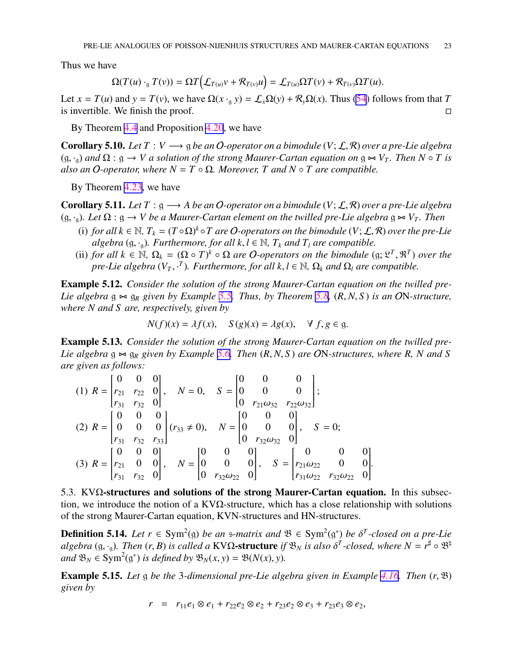<span id="page-22-0"></span>Thus we have

$$
\Omega(T(u) \cdot_{\mathfrak{g}} T(v)) = \Omega T(\mathcal{L}_{T(u)}v + \mathcal{R}_{T(v)}u) = \mathcal{L}_{T(u)}\Omega T(v) + \mathcal{R}_{T(v)}\Omega T(u).
$$

Let  $x = T(u)$  and  $y = T(v)$ , we have  $\Omega(x \cdot g y) = \mathcal{L}_x \Omega(y) + \mathcal{R}_y \Omega(x)$ . Thus [\(54](#page-18-0)) follows from that *T* is invertible. We finish the proof.  $\Box$ 

By Theorem [4.4](#page-12-0) and Proposition [4.20](#page-15-0), we have

**Corollary 5.10.** *Let*  $T: V \longrightarrow g$  *be an O-operator on a bimodule*  $(V; \mathcal{L}, \mathcal{R})$  *over a pre-Lie algebra*  $(g, \cdot_g)$  *and*  $\Omega : g \to V$  *a solution of the strong Maurer-Cartan equation on*  $g \bowtie V_T$ *. Then*  $N \circ T$  *is also an* O-operator, where  $N = T \circ \Omega$ . Moreover, T and  $N \circ T$  are compatible.

By Theorem [4.23](#page-17-0), we have

**Corollary 5.11.** *Let*  $T : g \longrightarrow A$  *be an O-operator on a bimodule*  $(V; \mathcal{L}, \mathcal{R})$  *over a pre-Lie algebra* (g, ·<sub>g</sub>). Let Ω : g → *V* be a Maurer-Cartan element on the twilled pre-Lie algebra g  $\Join$  *V*<sub>*T*</sub>. Then

- (i) for all  $k \in \mathbb{N}$ ,  $T_k = (T \circ \Omega)^k \circ T$  are O-operators on the bimodule  $(V; \mathcal{L}, \mathcal{R})$  over the pre-Lie *algebra* (g, ·<sub>g</sub>). Furthermore, for all  $k, l \in \mathbb{N}$ ,  $T_k$  and  $T_l$  are compatible.
- (ii) *for all*  $k \in \mathbb{N}$ ,  $\Omega_k = (\Omega \circ T)^k \circ \Omega$  *are O*-operators on the bimodule (g;  $\mathfrak{L}^T$ ,  $\mathfrak{R}^T$ ) *over the pre-Lie algebra*  $(V_T, \cdot^T)$ *. Furthermore, for all k, l* ∈ N,  $\Omega_k$  *and*  $\Omega_l$  *are compatible.*

**Example 5.12.** *Consider the solution of the strong Maurer-Cartan equation on the twilled pre-Lie algebra* g ⊲⊳ g*<sup>R</sup> given by Example [5.5.](#page-19-0) Thus, by Theorem [5.8](#page-20-0),* (*R*, *N*, *S* ) *is an* ON*-structure, where N and S are, respectively, given by*

$$
N(f)(x) = \lambda f(x), \quad S(g)(x) = \lambda g(x), \quad \forall \ f, g \in \mathfrak{g}.
$$

**Example 5.13.** Consider the solution of the strong Maurer-Cartan equation on the twilled pre-*Lie algebra* g ⊲⊳ g*<sup>R</sup> given by Example [5.6.](#page-19-0) Then* (*R*, *N*, *S* ) *are* ON*-structures, where R, N and S are given as follows:*

(1) 
$$
R = \begin{bmatrix} 0 & 0 & 0 \ r_{21} & r_{22} & 0 \ r_{31} & r_{32} & 0 \end{bmatrix}
$$
,  $N = 0$ ,  $S = \begin{bmatrix} 0 & 0 & 0 \ 0 & 0 & 0 \ 0 & r_{21}\omega_{32} & r_{22}\omega_{32} \end{bmatrix}$ ;  
\n(2)  $R = \begin{bmatrix} 0 & 0 & 0 \ 0 & 0 & 0 \ r_{31} & r_{32} & r_{33} \end{bmatrix}$  ( $r_{33} \neq 0$ ),  $N = \begin{bmatrix} 0 & 0 & 0 \ 0 & 0 & 0 \ 0 & r_{32}\omega_{32} & 0 \end{bmatrix}$ ,  $S = 0$ ;  
\n(3)  $R = \begin{bmatrix} 0 & 0 & 0 \ r_{21} & 0 & 0 \ r_{31} & r_{32} & 0 \end{bmatrix}$ ,  $N = \begin{bmatrix} 0 & 0 & 0 \ 0 & 0 & 0 \ 0 & r_{32}\omega_{22} & 0 \end{bmatrix}$ ,  $S = \begin{bmatrix} 0 & 0 & 0 \ r_{21}\omega_{22} & r_{32}\omega_{22} & 0 \end{bmatrix}$ .

5.3. KV $\Omega$ -structures and solutions of the strong Maurer-Cartan equation. In this subsection, we introduce the notion of a KV $\Omega$ -structure, which has a close relationship with solutions of the strong Maurer-Cartan equation, KVN-structures and HN-structures.

**Definition 5.14.** Let  $r \in Sym^2(\mathfrak{g})$  be an  $\mathfrak{s}$ -matrix and  $\mathfrak{B} \in Sym^2(\mathfrak{g}^*)$  be  $\delta^T$ -closed on a pre-Lie  $algebra$  (g,  $\cdot_g$ ). Then (r, B) is called a  $KV\Omega$ -structure if  $\mathfrak{B}_N$  is also  $\delta^T$ -closed, where  $N=r^{\sharp}\circ \mathfrak{B}^{\sharp}$  $\mathcal{B}_N \in \text{Sym}^2(\mathfrak{g}^*)$  *is defined by*  $\mathfrak{B}_N(x, y) = \mathfrak{B}(N(x), y)$ *.* 

Example 5.15. *Let* g *be the* 3*-dimensional pre-Lie algebra given in Example [4.16](#page-14-0). Then* (*r*, B) *given by*

$$
r = r_{11}e_1 \otimes e_1 + r_{22}e_2 \otimes e_2 + r_{23}e_2 \otimes e_3 + r_{23}e_3 \otimes e_2,
$$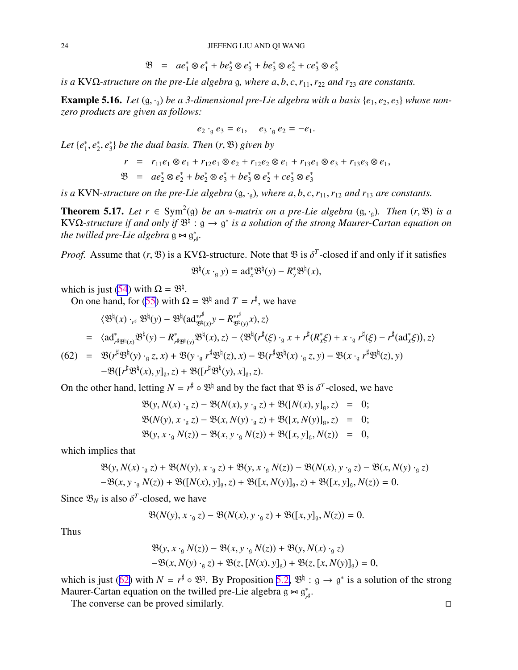$$
\mathfrak{B} = ae_1^* \otimes e_1^* + be_2^* \otimes e_3^* + be_3^* \otimes e_2^* + ce_3^* \otimes e_3^*
$$

<span id="page-23-0"></span>*is a* KVΩ*-structure on the pre-Lie algebra* g*, where a*, *b*, *c*,*r*11,*r*<sup>22</sup> *and r*<sup>23</sup> *are constants.*

**Example 5.16.** Let  $(g, \cdot_g)$  be a 3-dimensional pre-Lie algebra with a basis  $\{e_1, e_2, e_3\}$  whose non*zero products are given as follows:*

$$
e_2 \cdot_{\mathfrak{g}} e_3 = e_1, \quad e_3 \cdot_{\mathfrak{g}} e_2 = -e_1.
$$

*Let* {*e* ∗  $_1^*, e_2^*$  $\frac{1}{2}$ ,  $e_3^*$ 3 } *be the dual basis. Then* (*r*, B) *given by*

$$
r = r_{11}e_1 \otimes e_1 + r_{12}e_1 \otimes e_2 + r_{12}e_2 \otimes e_1 + r_{13}e_1 \otimes e_3 + r_{13}e_3 \otimes e_1,
$$
  
\n
$$
\mathfrak{B} = ae_2^* \otimes e_2^* + be_2^* \otimes e_3^* + be_3^* \otimes e_2^* + ce_3^* \otimes e_3^*
$$

*is a* KVN-structure on the pre-Lie algebra  $(g, \cdot_g)$ , where  $a, b, c, r_{11}, r_{12}$  and  $r_{13}$  are constants.

**Theorem 5.17.** Let  $r$  ∈ Sym<sup>2</sup>(g) *be an* s-matrix on a pre-Lie algebra (g, ⋅<sub>g</sub>). Then (r, \ \ B) is a KVQ-structure if and only if  $\mathfrak{B}^{\natural}: \mathfrak{g} \to \mathfrak{g}^*$  is a solution of the strong Maurer-Cartan equation on *the twilled pre-Lie algebra* g ∞ g<sup>\*</sup>. *r* ♯ *.*

*Proof.* Assume that  $(r, \mathfrak{B})$  is a KV $\Omega$ -structure. Note that  $\mathfrak{B}$  is  $\delta^T$ -closed if and only if it satisfies

$$
\mathfrak{B}^{\natural}(x \cdot_{g} y) = \mathrm{ad}_{x}^{*} \mathfrak{B}^{\natural}(y) - R_{y}^{*} \mathfrak{B}^{\natural}(x),
$$

which is just [\(54](#page-18-0)) with  $\Omega = \mathfrak{B}^{\natural}$ .

On one hand, for ([55\)](#page-18-0) with  $\Omega = \mathfrak{B}^{\dagger}$  and  $T = r^{\sharp}$ , we have

$$
\langle \mathfrak{B}^{\natural}(x) \cdot_{r^{\sharp}} \mathfrak{B}^{\natural}(y) - \mathfrak{B}^{\natural}(ad_{\mathfrak{B}^{\natural}(x)}^{*r^{\sharp}} y - R_{\mathfrak{B}^{\natural}(y)}^{*r^{\sharp}} x), z \rangle
$$
  
\n
$$
= \langle ad_{r^{\sharp}\mathfrak{B}^{\natural}(x)}^{*} \mathfrak{B}^{\natural}(y) - R_{r^{\sharp}\mathfrak{B}^{\natural}(y)}^{*} \mathfrak{B}^{\natural}(x), z \rangle - \langle \mathfrak{B}^{\natural}(r^{\sharp}(\xi) \cdot_{g} x + r^{\sharp}(R_{x}^{*}\xi) + x \cdot_{g} r^{\sharp}(\xi) - r^{\sharp}(ad_{x}^{*}\xi)), z \rangle
$$
  
\n(62) 
$$
= \mathfrak{B}(r^{\sharp}\mathfrak{B}^{\natural}(y) \cdot_{g} z, x) + \mathfrak{B}(y \cdot_{g} r^{\sharp}\mathfrak{B}^{\natural}(z), x) - \mathfrak{B}(r^{\sharp}\mathfrak{B}^{\natural}(x) \cdot_{g} z, y) - \mathfrak{B}(x \cdot_{g} r^{\sharp}\mathfrak{B}^{\natural}(z), y)
$$
  
\n
$$
- \mathfrak{B}([r^{\sharp}\mathfrak{B}^{\natural}(x), y]_{g}, z) + \mathfrak{B}([r^{\sharp}\mathfrak{B}^{\natural}(y), x]_{g}, z).
$$

On the other hand, letting  $N = r^{\sharp} \circ \mathfrak{B}^{\sharp}$  and by the fact that  $\mathfrak{B}$  is  $\delta^{T}$ -closed, we have

$$
\mathfrak{B}(y, N(x) \cdot_{g} z) - \mathfrak{B}(N(x), y \cdot_{g} z) + \mathfrak{B}([N(x), y]_{g}, z) = 0;
$$
  
\n
$$
\mathfrak{B}(N(y), x \cdot_{g} z) - \mathfrak{B}(x, N(y) \cdot_{g} z) + \mathfrak{B}([x, N(y)]_{g}, z) = 0;
$$
  
\n
$$
\mathfrak{B}(y, x \cdot_{g} N(z)) - \mathfrak{B}(x, y \cdot_{g} N(z)) + \mathfrak{B}([x, y]_{g}, N(z)) = 0,
$$

which implies that

$$
\mathfrak{B}(y, N(x) \cdot_{\mathfrak{g}} z) + \mathfrak{B}(N(y), x \cdot_{\mathfrak{g}} z) + \mathfrak{B}(y, x \cdot_{\mathfrak{g}} N(z)) - \mathfrak{B}(N(x), y \cdot_{\mathfrak{g}} z) - \mathfrak{B}(x, N(y) \cdot_{\mathfrak{g}} z) -\mathfrak{B}(x, y \cdot_{\mathfrak{g}} N(z)) + \mathfrak{B}([N(x), y]_{\mathfrak{g}}, z) + \mathfrak{B}([x, N(y)]_{\mathfrak{g}}, z) + \mathfrak{B}([x, y]_{\mathfrak{g}}, N(z)) = 0.
$$

Since  $\mathfrak{B}_N$  is also  $\delta^T$ -closed, we have

$$
\mathfrak{B}(N(y), x \cdot_{\mathfrak{g}} z) - \mathfrak{B}(N(x), y \cdot_{\mathfrak{g}} z) + \mathfrak{B}([x, y]_{\mathfrak{g}}, N(z)) = 0.
$$

Thus

$$
\mathfrak{B}(y, x \cdot_{\mathfrak{g}} N(z)) - \mathfrak{B}(x, y \cdot_{\mathfrak{g}} N(z)) + \mathfrak{B}(y, N(x) \cdot_{\mathfrak{g}} z) \n- \mathfrak{B}(x, N(y) \cdot_{\mathfrak{g}} z) + \mathfrak{B}(z, [N(x), y]_{\mathfrak{g}}) + \mathfrak{B}(z, [x, N(y)]_{\mathfrak{g}}) = 0,
$$

which is just (62) with  $N = r^{\sharp} \circ \mathfrak{B}^{\sharp}$ . By Proposition [5.2,](#page-18-0)  $\mathfrak{B}^{\sharp}$  :  $g \to g^*$  is a solution of the strong Maurer-Cartan equation on the twilled pre-Lie algebra  $g \Join g^*$ ∗<br>r‡

The converse can be proved similarly.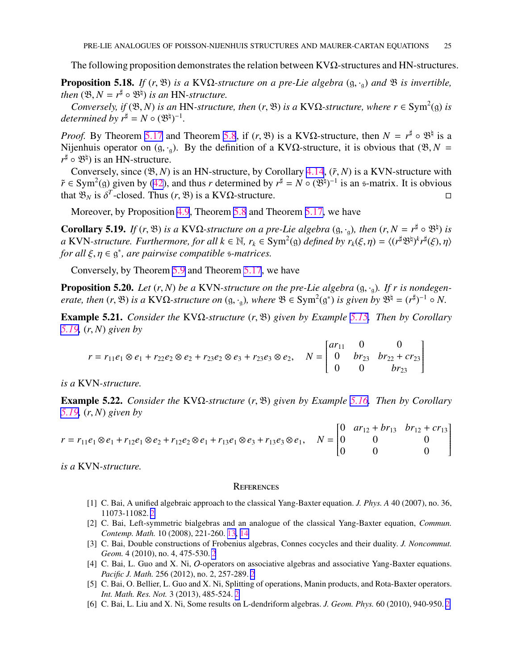<span id="page-24-0"></span>The following proposition demonstrates the relation between  $KV\Omega$ -structures and HN-structures.

**Proposition 5.18.** *If* (*r*,  $\mathfrak{B}$ ) *is a* KV $\Omega$ -structure on a pre-Lie algebra  $(g, \cdot_g)$  and  $\mathfrak{B}$  *is invertible, then*  $(\mathfrak{B}, N = r^{\sharp} \circ \mathfrak{B}^{\natural})$  *is an* HN-*structure*.

*Conversely, if*  $(\mathfrak{B}, N)$  *is an* HN-structure, then  $(r, \mathfrak{B})$  *is a* KV $\Omega$ -structure, where  $r \in \text{Sym}^2(\mathfrak{g})$  *is determined by*  $r^{\sharp} = N \circ (\mathfrak{B}^{\natural})^{-1}$ .

*Proof.* By Theorem [5.17](#page-23-0) and Theorem [5.8](#page-20-0), if  $(r, \mathcal{B})$  is a KVΩ-structure, then  $N = r^{\sharp} \circ \mathcal{B}^{\sharp}$  is a Nijenhuis operator on (g, ·<sub>g</sub>). By the definition of a KVΩ-structure, it is obvious that ( $\mathfrak{B}, N =$  $r^{\sharp} \circ \mathfrak{B}^{\natural}$ ) is an HN-structure.

Conversely, since  $(\mathcal{B}, N)$  is an HN-structure, by Corollary [4.14](#page-14-0),  $(\tilde{r}, N)$  is a KVN-structure with  $\tilde{r} \in \text{Sym}^2(\mathfrak{g})$  given by [\(42](#page-13-0)), and thus *r* determined by  $r^{\sharp} = N \circ (\mathfrak{B}^{\natural})^{-1}$  is an s-matrix. It is obvious that  $\mathfrak{B}_N$  is  $\delta^T$ -closed. Thus  $(r, \mathfrak{B})$  is a KV $\Omega$ -structure.

Moreover, by Proposition [4.9](#page-13-0), Theorem [5.8](#page-20-0) and Theorem [5.17,](#page-23-0) we have

Corollary 5.19. *If* (*r*,  $\mathfrak{B}$ ) *is a* KVΩ-structure on a pre-Lie algebra (g, ·<sub>g</sub>), then (*r*,  $N = r^{\sharp} \circ \mathfrak{B}^{\sharp}$ ) *is*  $a$  KVN-structure. Furthermore, for all  $k \in \mathbb{N}$ ,  $r_k \in Sym^2(\mathfrak{g})$  defined by  $r_k(\xi, \eta) = \langle (r^{\sharp} \mathfrak{B}^{\natural})^k r^{\sharp}(\xi), \eta \rangle$ *for all ξ*, *η* ∈ g<sup>\*</sup>, *are pairwise compatible s-matrices.* 

Conversely, by Theorem [5.9](#page-21-0) and Theorem [5.17](#page-23-0), we have

**Proposition 5.20.** *Let*  $(r, N)$  *be a* KVN-structure on the pre-Lie algebra  $(g, \cdot_g)$ . If r is nondegen*erate, then*  $(r, \mathfrak{B})$  *is a* KV $\Omega$ -*structure on*  $(g, \cdot_g)$ *, where*  $\mathfrak{B} \in \text{Sym}^2(g^*)$  *is given by*  $\mathfrak{B}^{\natural} = (r^{\sharp})^{-1} \circ N$ *.* 

Example 5.21. *Consider the* KVΩ*-structure* (*r*, B) *given by Example [5.15](#page-22-0). Then by Corollary 5.19,* (*r*, *N*) *given by*

$$
r = r_{11}e_1 \otimes e_1 + r_{22}e_2 \otimes e_2 + r_{23}e_2 \otimes e_3 + r_{23}e_3 \otimes e_2, \quad N = \begin{bmatrix} ar_{11} & 0 & 0 \\ 0 & br_{23} & br_{22} + cr_{23} \\ 0 & 0 & br_{23} \end{bmatrix}
$$

*is a* KVN*-structure.*

Example 5.22. *Consider the* KVΩ*-structure* (*r*, B) *given by Example [5.16](#page-23-0). Then by Corollary 5.19,* (*r*, *N*) *given by*

$$
r = r_{11}e_1 \otimes e_1 + r_{12}e_1 \otimes e_2 + r_{12}e_2 \otimes e_1 + r_{13}e_1 \otimes e_3 + r_{13}e_3 \otimes e_1, \quad N = \begin{bmatrix} 0 & ar_{12} + br_{13} & br_{12} + cr_{13} \\ 0 & 0 & 0 \\ 0 & 0 & 0 \end{bmatrix}
$$

*is a* KVN*-structure.*

#### **REFERENCES**

- [1] C. Bai, A unified algebraic approach to the classical Yang-Baxter equation. *J. Phys. A* 40 (2007), no. 36, 11073-11082. [2](#page-1-0)
- [2] C. Bai, Left-symmetric bialgebras and an analogue of the classical Yang-Baxter equation, *Commun. Contemp. Math.* 10 (2008), 221-260. [13,](#page-12-0) [14](#page-13-0)
- [3] C. Bai, Double constructions of Frobenius algebras, Connes cocycles and their duality. *J. Noncommut. Geom.* 4 (2010), no. 4, 475-530. [2](#page-1-0)
- [4] C. Bai, L. Guo and X. Ni, O-operators on associative algebras and associative Yang-Baxter equations. *Pacific J. Math.* 256 (2012), no. 2, 257-289. [2](#page-1-0)
- [5] C. Bai, O. Bellier, L. Guo and X. Ni, Splitting of operations, Manin products, and Rota-Baxter operators. *Int. Math. Res. Not.* 3 (2013), 485-524. [2](#page-1-0)
- [6] C. Bai, L. Liu and X. Ni, Some results on L-dendriform algebras. *J. Geom. Phys.* 60 (2010), 940-950. [2](#page-1-0)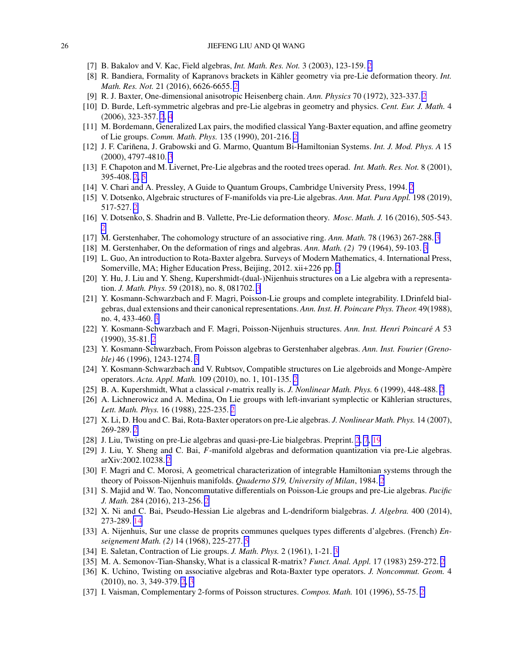- <span id="page-25-0"></span>[7] B. Bakalov and V. Kac, Field algebras, *Int. Math. Res. Not.* 3 (2003), 123-159. [2](#page-1-0)
- [8] R. Bandiera, Formality of Kapranovs brackets in Kähler geometry via pre-Lie deformation theory. *Int. Math. Res. Not.* 21 (2016), 6626-6655. [2](#page-1-0)
- [9] R. J. Baxter, One-dimensional anisotropic Heisenberg chain. *Ann. Physics* 70 (1972), 323-337. [2](#page-1-0)
- [10] D. Burde, Left-symmetric algebras and pre-Lie algebras in geometry and physics. *Cent. Eur. J. Math.* 4 (2006), 323-357. [2](#page-1-0), [4](#page-3-0)
- [11] M. Bordemann, Generalized Lax pairs, the modified classical Yang-Baxter equation, and affine geometry of Lie groups. *Comm. Math. Phys.* 135 (1990), 201-216. [2](#page-1-0)
- [12] J. F. Cariñena, J. Grabowski and G. Marmo, Quantum Bi-Hamiltonian Systems. *Int. J. Mod. Phys. A* 15 (2000), 4797-4810. [3](#page-2-0)
- [13] F. Chapoton and M. Livernet, Pre-Lie algebras and the rooted trees operad. *Int. Math. Res. Not.* 8 (2001), 395-408. [2,](#page-1-0) [5](#page-4-0)
- [14] V. Chari and A. Pressley, A Guide to Quantum Groups, Cambridge University Press, 1994. [2](#page-1-0)
- [15] V. Dotsenko, Algebraic structures of F-manifolds via pre-Lie algebras. *Ann. Mat. Pura Appl.* 198 (2019), 517-527. [2](#page-1-0)
- [16] V. Dotsenko, S. Shadrin and B. Vallette, Pre-Lie deformation theory. *Mosc. Math. J.* 16 (2016), 505-543. [2](#page-1-0)
- [17] M. Gerstenhaber, The cohomology structure of an associative ring. *Ann. Math.* 78 (1963) 267-288. [3](#page-2-0)
- [18] M. Gerstenhaber, On the deformation of rings and algebras. *Ann. Math. (2)* 79 (1964), 59-103. [3](#page-2-0)
- [19] L. Guo, An introduction to Rota-Baxter algebra. Surveys of Modern Mathematics, 4. International Press, Somerville, MA; Higher Education Press, Beijing, 2012. xii+226 pp. [2](#page-1-0)
- [20] Y. Hu, J. Liu and Y. Sheng, Kupershmidt-(dual-)Nijenhuis structures on a Lie algebra with a representation. *J. Math. Phys.* 59 (2018), no. 8, 081702. [3](#page-2-0)
- [21] Y. Kosmann-Schwarzbach and F. Magri, Poisson-Lie groups and complete integrability. I.Drinfeld bialgebras, dual extensions and their canonical representations. *Ann. Inst. H. Poincare Phys. Theor.* 49(1988), no. 4, 433-460. [3](#page-2-0)
- [22] Y. Kosmann-Schwarzbach and F. Magri, Poisson-Nijenhuis structures. *Ann. Inst. Henri Poincare A*´ 53 (1990), 35-81. [2](#page-1-0)
- [23] Y. Kosmann-Schwarzbach, From Poisson algebras to Gerstenhaber algebras. *Ann. Inst. Fourier (Grenoble)* 46 (1996), 1243-1274. [3](#page-2-0)
- [24] Y. Kosmann-Schwarzbach and V. Rubtsov, Compatible structures on Lie algebroids and Monge-Ampère operators. *Acta. Appl. Math.* 109 (2010), no. 1, 101-135. [2](#page-1-0)
- [25] B. A. Kupershmidt, What a classical *r*-matrix really is. *J. Nonlinear Math. Phys.* 6 (1999), 448-488. [2](#page-1-0)
- [26] A. Lichnerowicz and A. Medina, On Lie groups with left-invariant symplectic or Kählerian structures, *Lett. Math. Phys.* 16 (1988), 225-235. [2](#page-1-0)
- [27] X. Li, D. Hou and C. Bai, Rota-Baxter operators on pre-Lie algebras. *J. Nonlinear Math. Phys.* 14 (2007), 269-289. [2](#page-1-0)
- [28] J. Liu, Twisting on pre-Lie algebras and quasi-pre-Lie bialgebras. Preprint. [2](#page-1-0), [7](#page-6-0), [19](#page-18-0)
- [29] J. Liu, Y. Sheng and C. Bai, *F*-manifold algebras and deformation quantization via pre-Lie algebras. arXiv:2002.10238. [2](#page-1-0)
- [30] F. Magri and C. Morosi, A geometrical characterization of integrable Hamiltonian systems through the theory of Poisson-Nijenhuis manifolds. *Quaderno S19, University of Milan*, 1984. [2](#page-1-0)
- [31] S. Majid and W. Tao, Noncommutative differentials on Poisson-Lie groups and pre-Lie algebras. *Pacific J. Math.* 284 (2016), 213-256. [2](#page-1-0)
- [32] X. Ni and C. Bai, Pseudo-Hessian Lie algebras and L-dendriform bialgebras. *J. Algebra.* 400 (2014), 273-289. [14](#page-13-0)
- [33] A. Nijenhuis, Sur une classe de proprits communes quelques types differents d'algebres. (French) *Enseignement Math. (2)* 14 (1968), 225-277. [5](#page-4-0)
- [34] E. Saletan, Contraction of Lie groups. *J. Math. Phys.* 2 (1961), 1-21. [3](#page-2-0)
- [35] M. A. Semonov-Tian-Shansky, What is a classical R-matrix? *Funct. Anal. Appl.* 17 (1983) 259-272. [2](#page-1-0)
- [36] K. Uchino, Twisting on associative algebras and Rota-Baxter type operators. *J. Noncommut. Geom.* 4 (2010), no. 3, 349-379. [2](#page-1-0), [3](#page-2-0)
- [37] I. Vaisman, Complementary 2-forms of Poisson structures. *Compos. Math.* 101 (1996), 55-75. [2](#page-1-0)